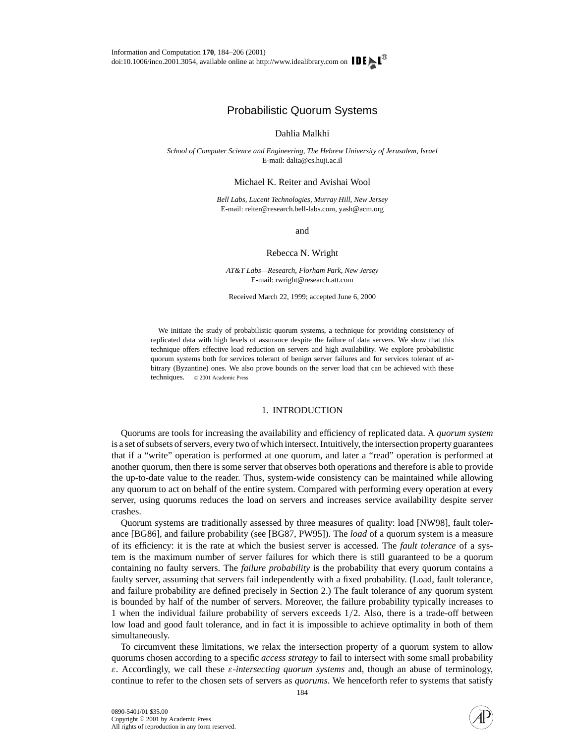# Probabilistic Quorum Systems

# Dahlia Malkhi

*School of Computer Science and Engineering, The Hebrew University of Jerusalem, Israel* E-mail: dalia@cs.huji.ac.il

Michael K. Reiter and Avishai Wool

*Bell Labs, Lucent Technologies, Murray Hill, New Jersey* E-mail: reiter@research.bell-labs.com, yash@acm.org

and

# Rebecca N. Wright

*AT&T Labs—Research, Florham Park, New Jersey* E-mail: rwright@research.att.com

Received March 22, 1999; accepted June 6, 2000

We initiate the study of probabilistic quorum systems, a technique for providing consistency of replicated data with high levels of assurance despite the failure of data servers. We show that this technique offers effective load reduction on servers and high availability. We explore probabilistic quorum systems both for services tolerant of benign server failures and for services tolerant of arbitrary (Byzantine) ones. We also prove bounds on the server load that can be achieved with these techniques. © 2001 Academic Press

# 1. INTRODUCTION

Quorums are tools for increasing the availability and efficiency of replicated data. A *quorum system* is a set of subsets of servers, every two of which intersect. Intuitively, the intersection property guarantees that if a "write" operation is performed at one quorum, and later a "read" operation is performed at another quorum, then there is some server that observes both operations and therefore is able to provide the up-to-date value to the reader. Thus, system-wide consistency can be maintained while allowing any quorum to act on behalf of the entire system. Compared with performing every operation at every server, using quorums reduces the load on servers and increases service availability despite server crashes.

Quorum systems are traditionally assessed by three measures of quality: load [NW98], fault tolerance [BG86], and failure probability (see [BG87, PW95]). The *load* of a quorum system is a measure of its efficiency: it is the rate at which the busiest server is accessed. The *fault tolerance* of a system is the maximum number of server failures for which there is still guaranteed to be a quorum containing no faulty servers. The *failure probability* is the probability that every quorum contains a faulty server, assuming that servers fail independently with a fixed probability. (Load, fault tolerance, and failure probability are defined precisely in Section 2.) The fault tolerance of any quorum system is bounded by half of the number of servers. Moreover, the failure probability typically increases to 1 when the individual failure probability of servers exceeds 1/2. Also, there is a trade-off between low load and good fault tolerance, and in fact it is impossible to achieve optimality in both of them simultaneously.

To circumvent these limitations, we relax the intersection property of a quorum system to allow quorums chosen according to a specific *access strategy* to fail to intersect with some small probability ε. Accordingly, we call these ε-*intersecting quorum systems* and, though an abuse of terminology, continue to refer to the chosen sets of servers as *quorums*. We henceforth refer to systems that satisfy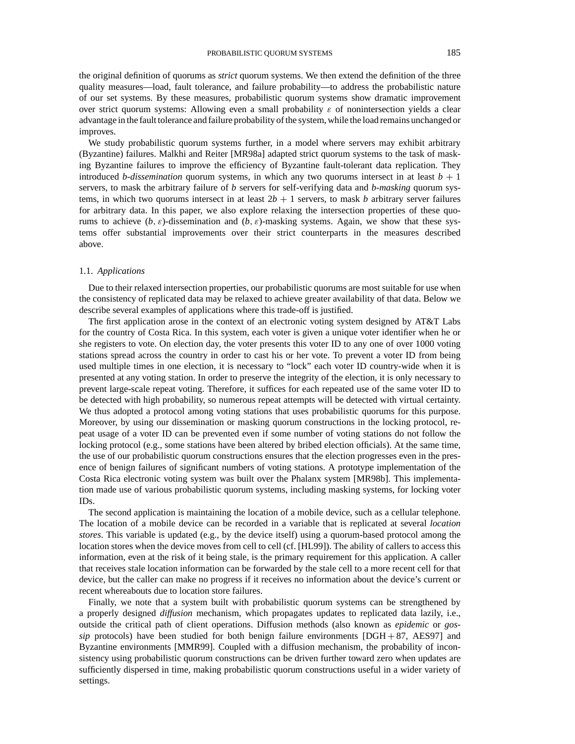the original definition of quorums as *strict* quorum systems. We then extend the definition of the three quality measures—load, fault tolerance, and failure probability—to address the probabilistic nature of our set systems. By these measures, probabilistic quorum systems show dramatic improvement over strict quorum systems: Allowing even a small probability  $\varepsilon$  of nonintersection yields a clear advantage in the fault tolerance and failure probability of the system, while the load remains unchanged or improves.

We study probabilistic quorum systems further, in a model where servers may exhibit arbitrary (Byzantine) failures. Malkhi and Reiter [MR98a] adapted strict quorum systems to the task of masking Byzantine failures to improve the efficiency of Byzantine fault-tolerant data replication. They introduced *b-dissemination* quorum systems, in which any two quorums intersect in at least  $b + 1$ servers, to mask the arbitrary failure of *b* servers for self-verifying data and *b-masking* quorum systems, in which two quorums intersect in at least  $2b + 1$  servers, to mask *b* arbitrary server failures for arbitrary data. In this paper, we also explore relaxing the intersection properties of these quorums to achieve  $(b, \varepsilon)$ -dissemination and  $(b, \varepsilon)$ -masking systems. Again, we show that these systems offer substantial improvements over their strict counterparts in the measures described above.

## 1.1. *Applications*

Due to their relaxed intersection properties, our probabilistic quorums are most suitable for use when the consistency of replicated data may be relaxed to achieve greater availability of that data. Below we describe several examples of applications where this trade-off is justified.

The first application arose in the context of an electronic voting system designed by AT&T Labs for the country of Costa Rica. In this system, each voter is given a unique voter identifier when he or she registers to vote. On election day, the voter presents this voter ID to any one of over 1000 voting stations spread across the country in order to cast his or her vote. To prevent a voter ID from being used multiple times in one election, it is necessary to "lock" each voter ID country-wide when it is presented at any voting station. In order to preserve the integrity of the election, it is only necessary to prevent large-scale repeat voting. Therefore, it suffices for each repeated use of the same voter ID to be detected with high probability, so numerous repeat attempts will be detected with virtual certainty. We thus adopted a protocol among voting stations that uses probabilistic quorums for this purpose. Moreover, by using our dissemination or masking quorum constructions in the locking protocol, repeat usage of a voter ID can be prevented even if some number of voting stations do not follow the locking protocol (e.g., some stations have been altered by bribed election officials). At the same time, the use of our probabilistic quorum constructions ensures that the election progresses even in the presence of benign failures of significant numbers of voting stations. A prototype implementation of the Costa Rica electronic voting system was built over the Phalanx system [MR98b]. This implementation made use of various probabilistic quorum systems, including masking systems, for locking voter IDs.

The second application is maintaining the location of a mobile device, such as a cellular telephone. The location of a mobile device can be recorded in a variable that is replicated at several *location stores*. This variable is updated (e.g., by the device itself) using a quorum-based protocol among the location stores when the device moves from cell to cell (cf. [HL99]). The ability of callers to access this information, even at the risk of it being stale, is the primary requirement for this application. A caller that receives stale location information can be forwarded by the stale cell to a more recent cell for that device, but the caller can make no progress if it receives no information about the device's current or recent whereabouts due to location store failures.

Finally, we note that a system built with probabilistic quorum systems can be strengthened by a properly designed *diffusion* mechanism, which propagates updates to replicated data lazily, i.e., outside the critical path of client operations. Diffusion methods (also known as *epidemic* or *gossip* protocols) have been studied for both benign failure environments  $[{\rm DGH} + 87, {\rm AES}97]$  and Byzantine environments [MMR99]. Coupled with a diffusion mechanism, the probability of inconsistency using probabilistic quorum constructions can be driven further toward zero when updates are sufficiently dispersed in time, making probabilistic quorum constructions useful in a wider variety of settings.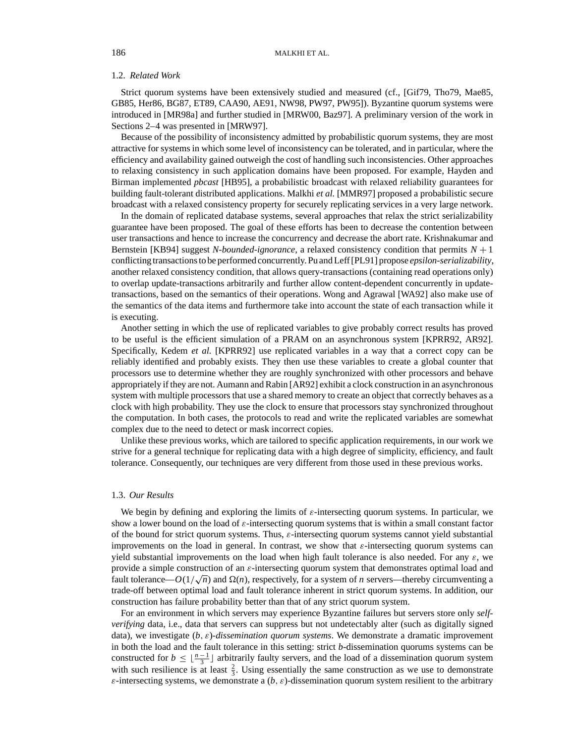## 1.2. *Related Work*

Strict quorum systems have been extensively studied and measured (cf., [Gif79, Tho79, Mae85, GB85, Her86, BG87, ET89, CAA90, AE91, NW98, PW97, PW95]). Byzantine quorum systems were introduced in [MR98a] and further studied in [MRW00, Baz97]. A preliminary version of the work in Sections 2–4 was presented in [MRW97].

Because of the possibility of inconsistency admitted by probabilistic quorum systems, they are most attractive for systems in which some level of inconsistency can be tolerated, and in particular, where the efficiency and availability gained outweigh the cost of handling such inconsistencies. Other approaches to relaxing consistency in such application domains have been proposed. For example, Hayden and Birman implemented *pbcast* [HB95], a probabilistic broadcast with relaxed reliability guarantees for building fault-tolerant distributed applications. Malkhi *et al.* [MMR97] proposed a probabilistic secure broadcast with a relaxed consistency property for securely replicating services in a very large network.

In the domain of replicated database systems, several approaches that relax the strict serializability guarantee have been proposed. The goal of these efforts has been to decrease the contention between user transactions and hence to increase the concurrency and decrease the abort rate. Krishnakumar and Bernstein [KB94] suggest *N-bounded-ignorance*, a relaxed consistency condition that permits *N* + 1 conflicting transactions to be performed concurrently. Pu and Leff [PL91] propose *epsilon-serializability*, another relaxed consistency condition, that allows query-transactions (containing read operations only) to overlap update-transactions arbitrarily and further allow content-dependent concurrently in updatetransactions, based on the semantics of their operations. Wong and Agrawal [WA92] also make use of the semantics of the data items and furthermore take into account the state of each transaction while it is executing.

Another setting in which the use of replicated variables to give probably correct results has proved to be useful is the efficient simulation of a PRAM on an asynchronous system [KPRR92, AR92]. Specifically, Kedem *et al.* [KPRR92] use replicated variables in a way that a correct copy can be reliably identified and probably exists. They then use these variables to create a global counter that processors use to determine whether they are roughly synchronized with other processors and behave appropriately if they are not. Aumann and Rabin [AR92] exhibit a clock construction in an asynchronous system with multiple processors that use a shared memory to create an object that correctly behaves as a clock with high probability. They use the clock to ensure that processors stay synchronized throughout the computation. In both cases, the protocols to read and write the replicated variables are somewhat complex due to the need to detect or mask incorrect copies.

Unlike these previous works, which are tailored to specific application requirements, in our work we strive for a general technique for replicating data with a high degree of simplicity, efficiency, and fault tolerance. Consequently, our techniques are very different from those used in these previous works.

#### 1.3. *Our Results*

We begin by defining and exploring the limits of  $\varepsilon$ -intersecting quorum systems. In particular, we show a lower bound on the load of  $\varepsilon$ -intersecting quorum systems that is within a small constant factor of the bound for strict quorum systems. Thus, ε-intersecting quorum systems cannot yield substantial improvements on the load in general. In contrast, we show that  $\varepsilon$ -intersecting quorum systems can yield substantial improvements on the load when high fault tolerance is also needed. For any  $\varepsilon$ , we provide a simple construction of an  $\varepsilon$ -intersecting quorum system that demonstrates optimal load and provide a simple construction of an *&*-intersecting quorum system that demonstrates optimal load and fault tolerance— $O(1/\sqrt{n})$  and  $\Omega(n)$ , respectively, for a system of *n* servers—thereby circumventing a trade-off between optimal load and fault tolerance inherent in strict quorum systems. In addition, our construction has failure probability better than that of any strict quorum system.

For an environment in which servers may experience Byzantine failures but servers store only *selfverifying* data, i.e., data that servers can suppress but not undetectably alter (such as digitally signed data), we investigate (*b*, ε)-*dissemination quorum systems*. We demonstrate a dramatic improvement in both the load and the fault tolerance in this setting: strict *b*-dissemination quorums systems can be constructed for  $b \leq \lfloor \frac{n-1}{3} \rfloor$  arbitrarily faulty servers, and the load of a dissemination quorum system with such resilience is at least  $\frac{2}{3}$ . Using essentially the same construction as we use to demonstrate  $\varepsilon$ -intersecting systems, we demonstrate a  $(b, \varepsilon)$ -dissemination quorum system resilient to the arbitrary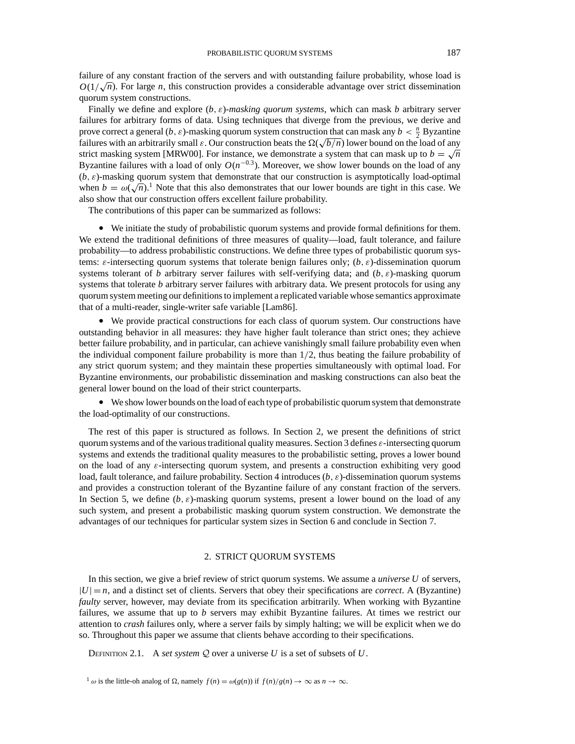Finally we define and explore (*b*, ε)-*masking quorum systems*, which can mask *b* arbitrary server failures for arbitrary forms of data. Using techniques that diverge from the previous, we derive and prove correct a general  $(b, \varepsilon)$ -masking quorum system construction that can mask any  $b < \frac{n}{2}$  Byzantine brove correct a general  $(b, \varepsilon)$ -masking quorum system construction that can mask any  $b < \frac{1}{2}$  by antimetrarily small  $\varepsilon$ . Our construction beats the  $\Omega(\sqrt{b/n})$  lower bound on the load of any strict masking system [MRW00]. For instance, we demonstrate a system that can mask up to  $b = \sqrt{n}$ Byzantine failures with a load of only  $O(n^{-0.3})$ . Moreover, we show lower bounds on the load of any  $(b, \varepsilon)$ -masking quorum system that demonstrate that our construction is asymptotically load-optimal  $(\nu, \varepsilon)$ -masking quorum system that demonstrate that our construction is asymptotically load-optimal<br>when  $b = \omega(\sqrt{n})$ .<sup>1</sup> Note that this also demonstrates that our lower bounds are tight in this case. We also show that our construction offers excellent failure probability.

The contributions of this paper can be summarized as follows:

• We initiate the study of probabilistic quorum systems and provide formal definitions for them. We extend the traditional definitions of three measures of quality—load, fault tolerance, and failure probability—to address probabilistic constructions. We define three types of probabilistic quorum systems:  $\varepsilon$ -intersecting quorum systems that tolerate benign failures only;  $(b, \varepsilon)$ -dissemination quorum systems tolerant of *b* arbitrary server failures with self-verifying data; and  $(b, \varepsilon)$ -masking quorum systems that tolerate *b* arbitrary server failures with arbitrary data. We present protocols for using any quorum system meeting our definitions to implement a replicated variable whose semantics approximate that of a multi-reader, single-writer safe variable [Lam86].

• We provide practical constructions for each class of quorum system. Our constructions have outstanding behavior in all measures: they have higher fault tolerance than strict ones; they achieve better failure probability, and in particular, can achieve vanishingly small failure probability even when the individual component failure probability is more than 1/2, thus beating the failure probability of any strict quorum system; and they maintain these properties simultaneously with optimal load. For Byzantine environments, our probabilistic dissemination and masking constructions can also beat the general lower bound on the load of their strict counterparts.

• We show lower bounds on the load of each type of probabilistic quorum system that demonstrate the load-optimality of our constructions.

The rest of this paper is structured as follows. In Section 2, we present the definitions of strict quorum systems and of the various traditional quality measures. Section 3 defines  $\varepsilon$ -intersecting quorum systems and extends the traditional quality measures to the probabilistic setting, proves a lower bound on the load of any ε-intersecting quorum system, and presents a construction exhibiting very good load, fault tolerance, and failure probability. Section 4 introduces  $(b, \varepsilon)$ -dissemination quorum systems and provides a construction tolerant of the Byzantine failure of any constant fraction of the servers. In Section 5, we define  $(b, \varepsilon)$ -masking quorum systems, present a lower bound on the load of any such system, and present a probabilistic masking quorum system construction. We demonstrate the advantages of our techniques for particular system sizes in Section 6 and conclude in Section 7.

# 2. STRICT QUORUM SYSTEMS

In this section, we give a brief review of strict quorum systems. We assume a *universe U* of servers,  $|U| = n$ , and a distinct set of clients. Servers that obey their specifications are *correct*. A (Byzantine) *faulty* server, however, may deviate from its specification arbitrarily. When working with Byzantine failures, we assume that up to *b* servers may exhibit Byzantine failures. At times we restrict our attention to *crash* failures only, where a server fails by simply halting; we will be explicit when we do so. Throughout this paper we assume that clients behave according to their specifications.

DEFINITION 2.1. A *set system*  $Q$  over a universe  $U$  is a set of subsets of  $U$ .

 $\frac{1}{\omega}$  is the little-oh analog of  $\Omega$ , namely  $f(n) = \omega(g(n))$  if  $f(n)/g(n) \to \infty$  as  $n \to \infty$ .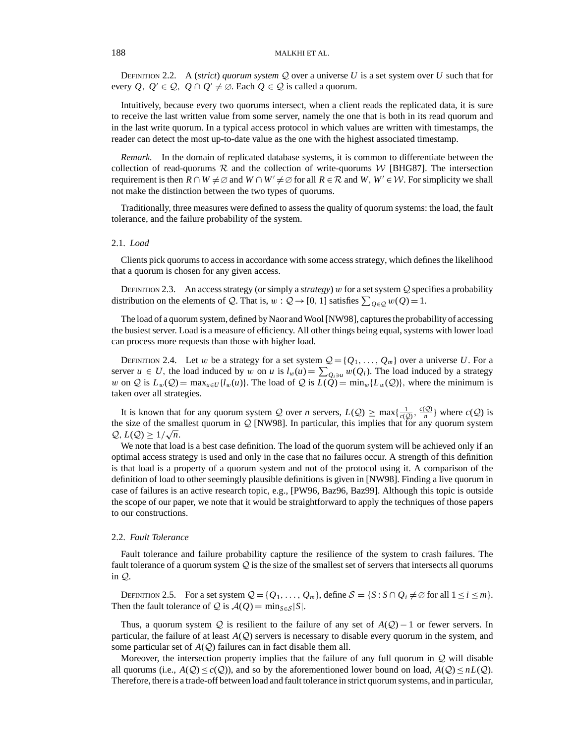DEFINITION 2.2. A (*strict*) *quorum system*  $Q$  over a universe U is a set system over U such that for every *Q*,  $Q' \in \mathcal{Q}$ ,  $Q \cap Q' \neq \emptyset$ . Each  $Q \in \mathcal{Q}$  is called a quorum.

Intuitively, because every two quorums intersect, when a client reads the replicated data, it is sure to receive the last written value from some server, namely the one that is both in its read quorum and in the last write quorum. In a typical access protocol in which values are written with timestamps, the reader can detect the most up-to-date value as the one with the highest associated timestamp.

*Remark.* In the domain of replicated database systems, it is common to differentiate between the collection of read-quorums  $R$  and the collection of write-quorums W [BHG87]. The intersection requirement is then  $R \cap W \neq \emptyset$  and  $W \cap W' \neq \emptyset$  for all  $R \in \mathcal{R}$  and  $W, W' \in \mathcal{W}$ . For simplicity we shall not make the distinction between the two types of quorums.

Traditionally, three measures were defined to assess the quality of quorum systems: the load, the fault tolerance, and the failure probability of the system.

# 2.1. *Load*

Clients pick quorums to access in accordance with some access strategy, which defines the likelihood that a quorum is chosen for any given access.

DEFINITION 2.3. An access strategy (or simply a *strategy*) w for a set system Q specifies a probability distribution on the elements of *Q*. That is,  $w: Q \to [0, 1]$  satisfies  $\sum_{Q \in Q} w(Q) = 1$ .

The load of a quorum system, defined by Naor and Wool [NW98], captures the probability of accessing the busiest server. Load is a measure of efficiency. All other things being equal, systems with lower load can process more requests than those with higher load.

DEFINITION 2.4. Let w be a strategy for a set system  $Q = \{Q_1, \ldots, Q_m\}$  over a universe U. For a server  $u \in U$ , the load induced by w on *u* is  $l_w(u) = \sum_{Q_i \ni u} w(Q_i)$ . The load induced by a strategy w on Q is  $L_w(Q) = \max_{u \in U} \{l_w(u)\}\$ . The load of Q is  $L(Q) = \min_w \{L_w(Q)\}\$ , where the minimum is taken over all strategies.

It is known that for any quorum system Q over *n* servers,  $L(Q) \ge \max\{\frac{1}{c(Q)}, \frac{c(Q)}{n}\}\$  where  $c(Q)$  is the size of the smallest quorum in  $Q$  [NW98]. In particular, this implies that for any quorum system  $Q, L(Q) \geq 1/\sqrt{n}$ .

We note that load is a best case definition. The load of the quorum system will be achieved only if an optimal access strategy is used and only in the case that no failures occur. A strength of this definition is that load is a property of a quorum system and not of the protocol using it. A comparison of the definition of load to other seemingly plausible definitions is given in [NW98]. Finding a live quorum in case of failures is an active research topic, e.g., [PW96, Baz96, Baz99]. Although this topic is outside the scope of our paper, we note that it would be straightforward to apply the techniques of those papers to our constructions.

## 2.2. *Fault Tolerance*

Fault tolerance and failure probability capture the resilience of the system to crash failures. The fault tolerance of a quorum system  $Q$  is the size of the smallest set of servers that intersects all quorums in Q.

DEFINITION 2.5. For a set system  $Q = \{Q_1, \ldots, Q_m\}$ , define  $S = \{S : S \cap Q_i \neq \emptyset \}$  for all  $1 \leq i \leq m\}$ . Then the fault tolerance of  $Q$  is  $A(Q) = \min_{S \in \mathcal{S}} |S|$ .

Thus, a quorum system  $Q$  is resilient to the failure of any set of  $A(Q) - 1$  or fewer servers. In particular, the failure of at least *A*(Q) servers is necessary to disable every quorum in the system, and some particular set of  $A(Q)$  failures can in fact disable them all.

Moreover, the intersection property implies that the failure of any full quorum in  $Q$  will disable all quorums (i.e.,  $A(Q) \leq c(Q)$ ), and so by the aforementioned lower bound on load,  $A(Q) \leq nL(Q)$ . Therefore, there is a trade-off between load and fault tolerance in strict quorum systems, and in particular,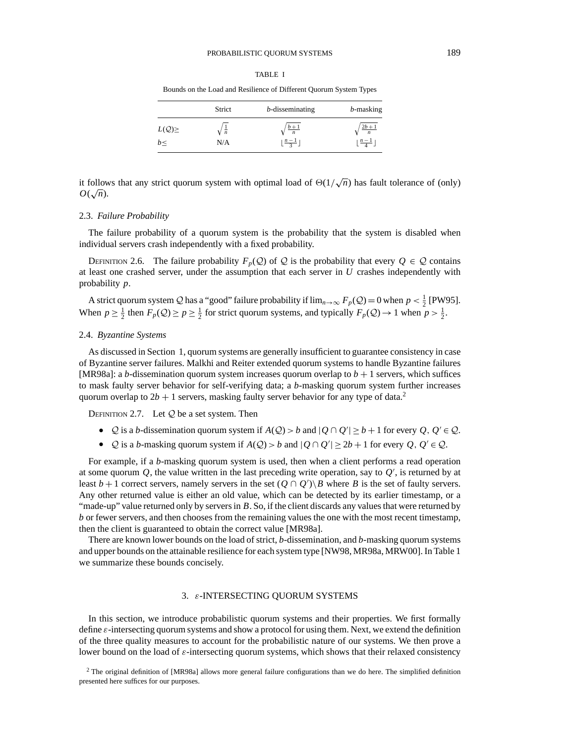# PROBABILISTIC QUORUM SYSTEMS 189

#### TABLE I

Bounds on the Load and Resilience of Different Quorum System Types

|             | Strict        | $b$ -disseminating              | $b$ -masking                    |  |
|-------------|---------------|---------------------------------|---------------------------------|--|
| $L(Q) \geq$ | $\frac{1}{n}$ | $\frac{b+1}{n}$                 | $\frac{2b+1}{n}$                |  |
| b<          | N/A           | $\lfloor \frac{n-1}{3} \rfloor$ | $\lfloor \frac{n-1}{4} \rfloor$ |  |

it follows that any strict quorum system with optimal load of  $\Theta(1/\sqrt{n})$  has fault tolerance of (only)  $O(\sqrt{n})$ .

#### 2.3. *Failure Probability*

The failure probability of a quorum system is the probability that the system is disabled when individual servers crash independently with a fixed probability.

DEFINITION 2.6. The failure probability  $F_p(Q)$  of Q is the probability that every  $Q \in Q$  contains at least one crashed server, under the assumption that each server in *U* crashes independently with probability *p*.

A strict quorum system Q has a "good" failure probability if  $\lim_{n\to\infty} F_p(Q) = 0$  when  $p < \frac{1}{2}$  [PW95]. When  $p \ge \frac{1}{2}$  then  $F_p(Q) \ge p \ge \frac{1}{2}$  for strict quorum systems, and typically  $F_p(Q) \to 1$  when  $p > \frac{1}{2}$ .

### 2.4. *Byzantine Systems*

As discussed in Section 1, quorum systems are generally insufficient to guarantee consistency in case of Byzantine server failures. Malkhi and Reiter extended quorum systems to handle Byzantine failures [MR98a]: a *b*-dissemination quorum system increases quorum overlap to  $b + 1$  servers, which suffices to mask faulty server behavior for self-verifying data; a *b*-masking quorum system further increases quorum overlap to  $2b + 1$  servers, masking faulty server behavior for any type of data.<sup>2</sup>

DEFINITION 2.7. Let  $Q$  be a set system. Then

- $Q$  is a *b*-dissemination quorum system if  $A(Q) > b$  and  $|Q \cap Q'| \ge b + 1$  for every  $Q, Q' \in Q$ .
- $Q$  is a *b*-masking quorum system if  $A(Q) > b$  and  $|Q \cap Q'| \ge 2b + 1$  for every  $Q, Q' \in Q$ .

For example, if a *b*-masking quorum system is used, then when a client performs a read operation at some quorum  $Q$ , the value written in the last preceding write operation, say to  $Q'$ , is returned by at least  $b+1$  correct servers, namely servers in the set  $(Q \cap Q')\$  where *B* is the set of faulty servers. Any other returned value is either an old value, which can be detected by its earlier timestamp, or a "made-up" value returned only by servers in *B*. So, if the client discards any values that were returned by *b* or fewer servers, and then chooses from the remaining values the one with the most recent timestamp, then the client is guaranteed to obtain the correct value [MR98a].

There are known lower bounds on the load of strict, *b*-dissemination, and *b*-masking quorum systems and upper bounds on the attainable resilience for each system type [NW98, MR98a, MRW00]. In Table 1 we summarize these bounds concisely.

## 3. ε-INTERSECTING QUORUM SYSTEMS

In this section, we introduce probabilistic quorum systems and their properties. We first formally define ε-intersecting quorum systems and show a protocol for using them. Next, we extend the definition of the three quality measures to account for the probabilistic nature of our systems. We then prove a lower bound on the load of  $\varepsilon$ -intersecting quorum systems, which shows that their relaxed consistency

<sup>2</sup> The original definition of [MR98a] allows more general failure configurations than we do here. The simplified definition presented here suffices for our purposes.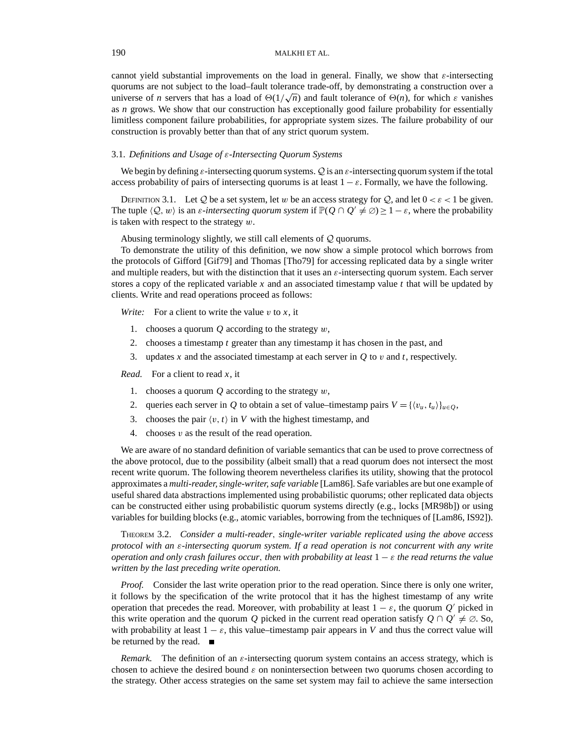cannot yield substantial improvements on the load in general. Finally, we show that  $\varepsilon$ -intersecting quorums are not subject to the load–fault tolerance trade-off, by demonstrating a construction over a quorums are not subject to the load-latit tolerance trade-on, by demonstrating a construction over a<br>universe of *n* servers that has a load of  $\Theta(1/\sqrt{n})$  and fault tolerance of  $\Theta(n)$ , for which  $\varepsilon$  vanishes as *n* grows. We show that our construction has exceptionally good failure probability for essentially limitless component failure probabilities, for appropriate system sizes. The failure probability of our construction is provably better than that of any strict quorum system.

# 3.1. *Definitions and Usage of* ε*-Intersecting Quorum Systems*

We begin by defining  $\varepsilon$ -intersecting quorum systems. Q is an  $\varepsilon$ -intersecting quorum system if the total access probability of pairs of intersecting quorums is at least  $1 - \varepsilon$ . Formally, we have the following.

DEFINITION 3.1. Let Q be a set system, let w be an access strategy for Q, and let  $0 < \varepsilon < 1$  be given. The tuple  $\langle Q, w \rangle$  is an *ε*-*intersecting quorum system* if  $\mathbb{P}(Q \cap Q' \neq \emptyset) \geq 1 - \varepsilon$ , where the probability is taken with respect to the strategy  $w$ .

Abusing terminology slightly, we still call elements of Q quorums.

To demonstrate the utility of this definition, we now show a simple protocol which borrows from the protocols of Gifford [Gif79] and Thomas [Tho79] for accessing replicated data by a single writer and multiple readers, but with the distinction that it uses an  $\varepsilon$ -intersecting quorum system. Each server stores a copy of the replicated variable *x* and an associated timestamp value *t* that will be updated by clients. Write and read operations proceed as follows:

*Write:* For a client to write the value  $v$  to  $x$ , it

- 1. chooses a quorum *Q* according to the strategy w,
- 2. chooses a timestamp *t* greater than any timestamp it has chosen in the past, and
- 3. updates *x* and the associated timestamp at each server in *Q* to v and *t*, respectively.

*Read.* For a client to read *x*, it

- 1. chooses a quorum  $Q$  according to the strategy  $w$ ,
- 2. queries each server in *Q* to obtain a set of value–timestamp pairs  $V = \{v_u, t_u\}_{u \in O}$ ,
- 3. chooses the pair  $\langle v, t \rangle$  in *V* with the highest timestamp, and
- 4. chooses  $v$  as the result of the read operation.

We are aware of no standard definition of variable semantics that can be used to prove correctness of the above protocol, due to the possibility (albeit small) that a read quorum does not intersect the most recent write quorum. The following theorem nevertheless clarifies its utility, showing that the protocol approximates a *multi-reader, single-writer, safe variable* [Lam86]. Safe variables are but one example of useful shared data abstractions implemented using probabilistic quorums; other replicated data objects can be constructed either using probabilistic quorum systems directly (e.g., locks [MR98b]) or using variables for building blocks (e.g., atomic variables, borrowing from the techniques of [Lam86, IS92]).

THEOREM 3.2. *Consider a multi-reader*, *single-writer variable replicated using the above access protocol with an* ε*-intersecting quorum system. If a read operation is not concurrent with any write operation and only crash failures occur*, *then with probability at least* 1 − ε *the read returns the value written by the last preceding write operation.*

*Proof.* Consider the last write operation prior to the read operation. Since there is only one writer, it follows by the specification of the write protocol that it has the highest timestamp of any write operation that precedes the read. Moreover, with probability at least  $1 - \varepsilon$ , the quorum *Q'* picked in this write operation and the quorum *Q* picked in the current read operation satisfy  $Q \cap Q' \neq \emptyset$ . So, with probability at least  $1 - \varepsilon$ , this value–timestamp pair appears in *V* and thus the correct value will be returned by the read.

*Remark.* The definition of an  $\varepsilon$ -intersecting quorum system contains an access strategy, which is chosen to achieve the desired bound  $\varepsilon$  on nonintersection between two quorums chosen according to the strategy. Other access strategies on the same set system may fail to achieve the same intersection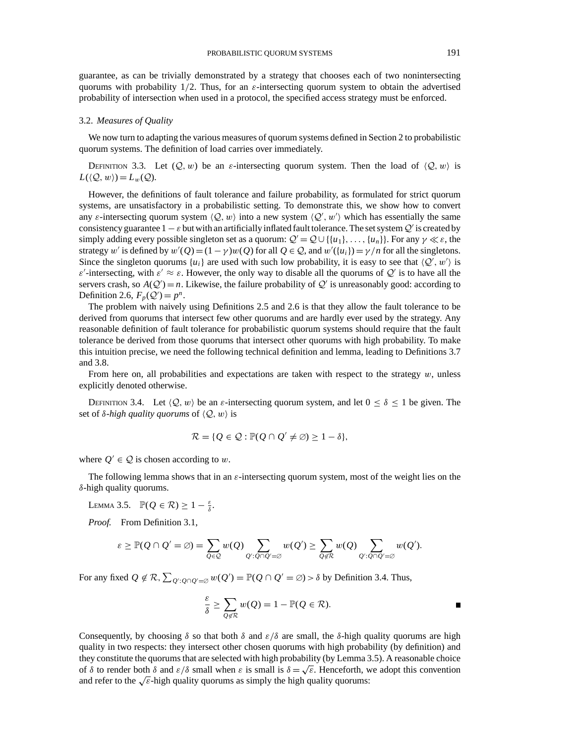guarantee, as can be trivially demonstrated by a strategy that chooses each of two nonintersecting quorums with probability 1/2. Thus, for an  $\varepsilon$ -intersecting quorum system to obtain the advertised probability of intersection when used in a protocol, the specified access strategy must be enforced.

## 3.2. *Measures of Quality*

We now turn to adapting the various measures of quorum systems defined in Section 2 to probabilistic quorum systems. The definition of load carries over immediately.

DEFINITION 3.3. Let  $(Q, w)$  be an *ε*-intersecting quorum system. Then the load of  $\langle Q, w \rangle$  is  $L(\langle \mathcal{Q}, w \rangle) = L_w(\mathcal{Q}).$ 

However, the definitions of fault tolerance and failure probability, as formulated for strict quorum systems, are unsatisfactory in a probabilistic setting. To demonstrate this, we show how to convert any  $\varepsilon$ -intersecting quorum system  $\langle \mathcal{Q}, w \rangle$  into a new system  $\langle \mathcal{Q}', w' \rangle$  which has essentially the same consistency guarantee  $1 - \varepsilon$  but with an artificially inflated fault tolerance. The set system  $Q'$  is created by simply adding every possible singleton set as a quorum:  $Q' = Q \cup \{\{u_1\}, \ldots, \{u_n\}\}\$ . For any  $\gamma \ll \varepsilon$ , the strategy w' is defined by  $w'(Q) = (1 - \gamma)w(Q)$  for all  $Q \in \mathcal{Q}$ , and  $w'(w_i) = \gamma/n$  for all the singletons. Since the singleton quorums  $\{u_i\}$  are used with such low probability, it is easy to see that  $\langle Q', w' \rangle$  is  $\varepsilon'$ -intersecting, with  $\varepsilon' \approx \varepsilon$ . However, the only way to disable all the quorums of  $\mathcal{Q}'$  is to have all the servers crash, so  $A(Q') = n$ . Likewise, the failure probability of  $Q'$  is unreasonably good: according to Definition 2.6,  $F_p(Q') = p^n$ .

The problem with naively using Definitions 2.5 and 2.6 is that they allow the fault tolerance to be derived from quorums that intersect few other quorums and are hardly ever used by the strategy. Any reasonable definition of fault tolerance for probabilistic quorum systems should require that the fault tolerance be derived from those quorums that intersect other quorums with high probability. To make this intuition precise, we need the following technical definition and lemma, leading to Definitions 3.7 and 3.8.

From here on, all probabilities and expectations are taken with respect to the strategy  $w$ , unless explicitly denoted otherwise.

DEFINITION 3.4. Let  $\langle Q, w \rangle$  be an *ε*-intersecting quorum system, and let  $0 \le \delta \le 1$  be given. The set of  $\delta$ -*high quality quorums* of  $\langle \mathcal{Q}, w \rangle$  is

$$
\mathcal{R} = \{ Q \in \mathcal{Q} : \mathbb{P}(Q \cap Q' \neq \emptyset) \geq 1 - \delta \},\
$$

where  $Q' \in \mathcal{Q}$  is chosen according to w.

The following lemma shows that in an  $\varepsilon$ -intersecting quorum system, most of the weight lies on the δ-high quality quorums.

LEMMA 3.5.  $\mathbb{P}(Q \in \mathcal{R}) \geq 1 - \frac{\varepsilon}{\delta}$ .

*Proof.* From Definition 3.1,

$$
\varepsilon \geq \mathbb{P}(\mathcal{Q} \cap \mathcal{Q}' = \varnothing) = \sum_{\mathcal{Q} \in \mathcal{Q}} w(\mathcal{Q}) \sum_{\mathcal{Q}' : \mathcal{Q} \cap \mathcal{Q}' = \varnothing} w(\mathcal{Q}') \geq \sum_{\mathcal{Q} \notin \mathcal{R}} w(\mathcal{Q}) \sum_{\mathcal{Q}' : \mathcal{Q} \cap \mathcal{Q}' = \varnothing} w(\mathcal{Q}').
$$

For any fixed  $Q \notin \mathcal{R}$ ,  $\sum_{Q': Q \cap Q' = \emptyset} w(Q') = \mathbb{P}(Q \cap Q' = \emptyset) > \delta$  by Definition 3.4. Thus,

$$
\frac{\varepsilon}{\delta} \ge \sum_{Q \notin \mathcal{R}} w(Q) = 1 - \mathbb{P}(Q \in \mathcal{R}).
$$

Consequently, by choosing  $\delta$  so that both  $\delta$  and  $\varepsilon/\delta$  are small, the  $\delta$ -high quality quorums are high quality in two respects: they intersect other chosen quorums with high probability (by definition) and they constitute the quorums that are selected with high probability (by Lemma 3.5). A reasonable choice of  $\delta$  to render both  $\delta$  and  $\varepsilon/\delta$  small when  $\varepsilon$  is small is  $\delta = \sqrt{\varepsilon}$ . Henceforth, we adopt this convention and refer to the  $\sqrt{\varepsilon}$ -high quality quorums as simply the high quality quorums: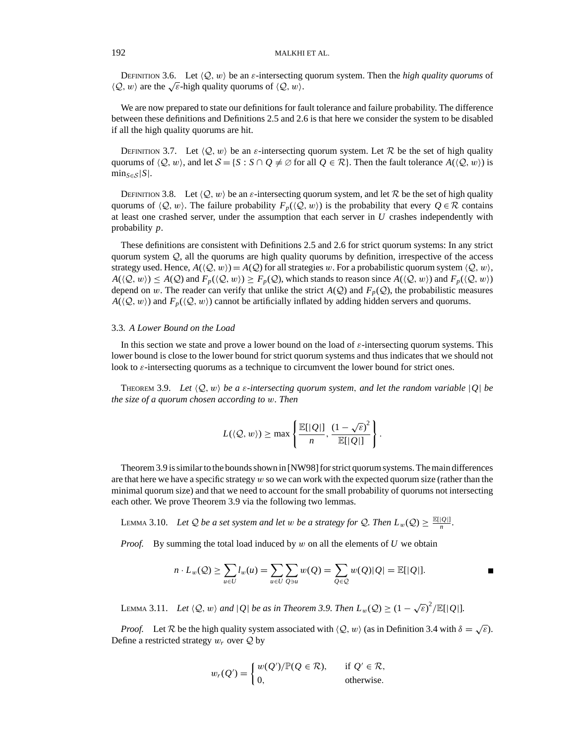DEFINITION 3.6. Let  $\langle Q, w \rangle$  be an  $\varepsilon$ -intersecting quorum system. Then the *high quality quorums* of  $\langle Q, w \rangle$  are the  $\sqrt{\varepsilon}$ -high quality quorums of  $\langle Q, w \rangle$ .

We are now prepared to state our definitions for fault tolerance and failure probability. The difference between these definitions and Definitions 2.5 and 2.6 is that here we consider the system to be disabled if all the high quality quorums are hit.

DEFINITION 3.7. Let  $\langle Q, w \rangle$  be an *ε*-intersecting quorum system. Let R be the set of high quality quorums of  $\langle Q, w \rangle$ , and let  $S = \{S : S \cap Q \neq \emptyset \}$  for all  $Q \in \mathcal{R}\}$ . Then the fault tolerance  $A(\langle Q, w \rangle)$  is  $\min_{S \in S} |S|$ .

DEFINITION 3.8. Let  $\langle Q, w \rangle$  be an  $\varepsilon$ -intersecting quorum system, and let R be the set of high quality quorums of  $\langle Q, w \rangle$ . The failure probability *F<sub>p</sub>*( $\langle Q, w \rangle$ ) is the probability that every  $Q \in \mathcal{R}$  contains at least one crashed server, under the assumption that each server in *U* crashes independently with probability *p*.

These definitions are consistent with Definitions 2.5 and 2.6 for strict quorum systems: In any strict quorum system  $Q$ , all the quorums are high quality quorums by definition, irrespective of the access strategy used. Hence,  $A(\langle Q, w \rangle) = A(Q)$  for all strategies w. For a probabilistic quorum system  $\langle Q, w \rangle$ ,  $A(\langle Q, w \rangle) \le A(Q)$  and  $F_p(\langle Q, w \rangle) \ge F_p(Q)$ , which stands to reason since  $A(\langle Q, w \rangle)$  and  $F_p(\langle Q, w \rangle)$ depend on w. The reader can verify that unlike the strict  $A(Q)$  and  $F_p(Q)$ , the probabilistic measures  $A(\langle Q, w \rangle)$  and  $F_p(\langle Q, w \rangle)$  cannot be artificially inflated by adding hidden servers and quorums.

# 3.3. *A Lower Bound on the Load*

In this section we state and prove a lower bound on the load of  $\varepsilon$ -intersecting quorum systems. This lower bound is close to the lower bound for strict quorum systems and thus indicates that we should not look to  $\varepsilon$ -intersecting quorums as a technique to circumvent the lower bound for strict ones.

THEOREM 3.9. Let  $\langle Q, w \rangle$  be a  $\varepsilon$ -intersecting quorum system, and let the random variable  $|Q|$  be *the size of a quorum chosen according to* w*. Then*

$$
L(\langle \mathcal{Q}, w \rangle) \ge \max \left\{ \frac{\mathbb{E}[|\mathcal{Q}|]}{n}, \frac{(1-\sqrt{\varepsilon})^2}{\mathbb{E}[|\mathcal{Q}|]} \right\}.
$$

Theorem 3.9 is similar to the bounds shown in [NW98] for strict quorum systems. The main differences are that here we have a specific strategy  $w$  so we can work with the expected quorum size (rather than the minimal quorum size) and that we need to account for the small probability of quorums not intersecting each other. We prove Theorem 3.9 via the following two lemmas.

LEMMA 3.10. *Let*  $Q$  *be a set system and let w be a strategy for*  $Q$ *. Then*  $L_w(Q) \ge \frac{\mathbb{E}(|Q|)}{n}$ *.* 

*Proof.* By summing the total load induced by w on all the elements of U we obtain

$$
n \cdot L_w(\mathcal{Q}) \ge \sum_{u \in U} l_w(u) = \sum_{u \in U} \sum_{Q \ni u} w(Q) = \sum_{Q \in \mathcal{Q}} w(Q) |Q| = \mathbb{E}[|Q|].
$$

LEMMA 3.11. *Let*  $\langle Q, w \rangle$  *and*  $|Q|$  *be as in Theorem 3.9. Then*  $L_w(Q) \ge (1 - \sqrt{\varepsilon})^2 / \mathbb{E}[|Q|]$ *.* 

*Proof.* Let R be the high quality system associated with  $\langle Q, w \rangle$  (as in Definition 3.4 with  $\delta = \sqrt{\varepsilon}$ ). Define a restricted strategy  $w_r$  over  $Q$  by

$$
w_r(Q') = \begin{cases} w(Q')/\mathbb{P}(Q \in \mathcal{R}), & \text{if } Q' \in \mathcal{R}, \\ 0, & \text{otherwise.} \end{cases}
$$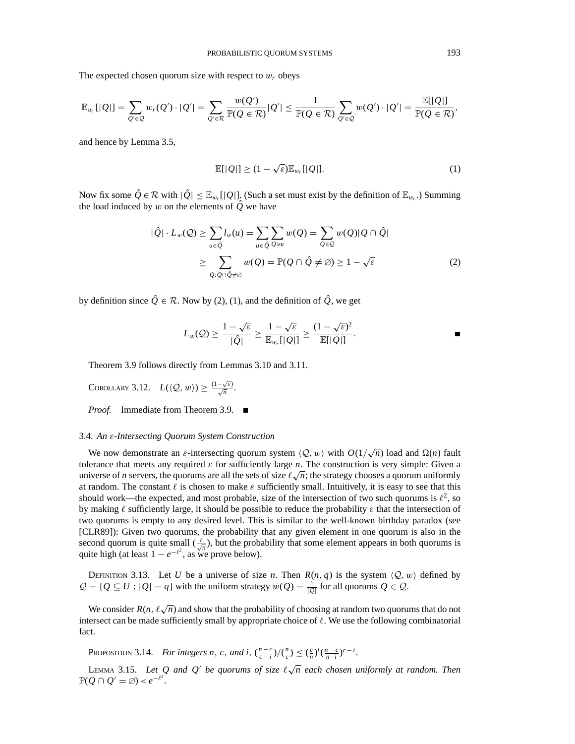The expected chosen quorum size with respect to  $w_r$  obeys

$$
\mathbb{E}_{w_r}[|Q|] = \sum_{Q' \in \mathcal{Q}} w_r(Q') \cdot |Q'| = \sum_{Q' \in \mathcal{R}} \frac{w(Q')}{\mathbb{P}(Q \in \mathcal{R})} |Q'| \leq \frac{1}{\mathbb{P}(Q \in \mathcal{R})} \sum_{Q' \in \mathcal{Q}} w(Q') \cdot |Q'| = \frac{\mathbb{E}[|Q|]}{\mathbb{P}(Q \in \mathcal{R})},
$$

and hence by Lemma 3.5,

$$
\mathbb{E}[|Q|] \ge (1 - \sqrt{\varepsilon}) \mathbb{E}_{w_r}[|Q|]. \tag{1}
$$

Now fix some  $\hat{Q} \in \mathcal{R}$  with  $|\hat{Q}| \leq \mathbb{E}_{w_r}[|Q|]$ . (Such a set must exist by the definition of  $\mathbb{E}_{w_r}$ .) Summing the load induced by w on the elements of  $\hat{Q}$  we have

$$
|\hat{Q}| \cdot L_w(\mathcal{Q}) \ge \sum_{u \in \hat{Q}} l_w(u) = \sum_{u \in \hat{Q}} \sum_{Q \ni u} w(Q) = \sum_{Q \in \mathcal{Q}} w(Q) |Q \cap \hat{Q}|
$$
  
 
$$
\ge \sum_{Q: Q \cap \hat{Q} \ne \emptyset} w(Q) = \mathbb{P}(Q \cap \hat{Q} \ne \emptyset) \ge 1 - \sqrt{\varepsilon}
$$
 (2)

by definition since  $\hat{Q} \in \mathcal{R}$ . Now by (2), (1), and the definition of  $\hat{Q}$ , we get

$$
L_w(Q) \ge \frac{1-\sqrt{\varepsilon}}{|\hat{Q}|} \ge \frac{1-\sqrt{\varepsilon}}{\mathbb{E}_{w_r}[|Q|]} \ge \frac{(1-\sqrt{\varepsilon})^2}{\mathbb{E}[|Q|]}.
$$

Theorem 3.9 follows directly from Lemmas 3.10 and 3.11.

COROLLARY 3.12. 
$$
L(\langle Q, w \rangle) \ge \frac{(1-\sqrt{\varepsilon})}{\sqrt{n}}
$$
.

*Proof.* Immediate from Theorem 3.9. ■

#### 3.4. *An* ε*-Intersecting Quorum System Construction*

We now demonstrate an  $\varepsilon$ -intersecting quorum system  $\langle Q, w \rangle$  with  $O(1/\sqrt{n})$  load and  $\Omega(n)$  fault tolerance that meets any required  $\varepsilon$  for sufficiently large *n*. The construction is very simple: Given a tolerance that meets any required  $\varepsilon$  for sufficiently large *n*. The construction is very simple: Given a universe of *n* servers, the quorums are all the sets of size  $\ell\sqrt{n}$ ; the strategy chooses a quorum uniformly at random. The constant  $\ell$  is chosen to make  $\varepsilon$  sufficiently small. Intuitively, it is easy to see that this should work—the expected, and most probable, size of the intersection of two such quorums is  $\ell^2$ , so by making  $\ell$  sufficiently large, it should be possible to reduce the probability  $\varepsilon$  that the intersection of two quorums is empty to any desired level. This is similar to the well-known birthday paradox (see [CLR89]): Given two quorums, the probability that any given element in one quorum is also in the second quorum is quite small  $(\frac{\ell}{\sqrt{n}})$ , but the probability that some element appears in both quorums is quite high (at least  $1 - e^{-\ell^2}$ , as we prove below).

DEFINITION 3.13. Let *U* be a universe of size *n*. Then  $R(n, q)$  is the system  $\langle Q, w \rangle$  defined by  $Q = \{Q \subseteq U : |Q| = q\}$  with the uniform strategy  $w(Q) = \frac{1}{|Q|}$  for all quorums  $Q \in Q$ .

We consider  $R(n, \ell \sqrt{n})$  and show that the probability of choosing at random two quorums that do not intersect can be made sufficiently small by appropriate choice of  $\ell$ . We use the following combinatorial fact.

PROPOSITION 3.14. For integers n, c, and i,  $\binom{n-c}{c-i}\binom{n}{c} \leq \left(\frac{c}{n}\right)^i \left(\frac{n-c}{n-i}\right)^{c-i}$ .

LEMMA 3.15. Let Q and Q' be quorums of size  $\ell \sqrt{n}$  each chosen uniformly at random. Then  $\mathbb{P}(Q \cap Q' = \emptyset) < e^{-\ell^2}.$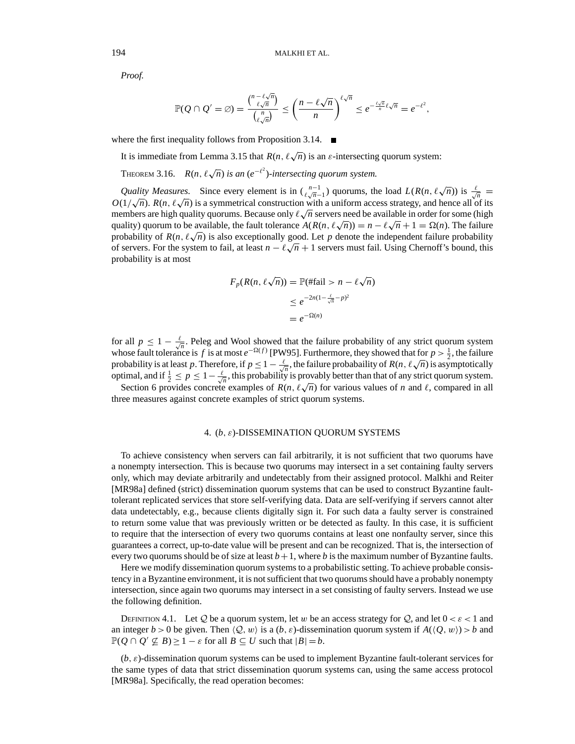*Proof.*

$$
\mathbb{P}(Q \cap Q' = \varnothing) = \frac{\binom{n-\ell\sqrt{n}}{\ell\sqrt{n}}}{\binom{n}{\ell\sqrt{n}}} \le \left(\frac{n-\ell\sqrt{n}}{n}\right)^{\ell\sqrt{n}} \le e^{-\frac{\ell\sqrt{n}}{n}\ell\sqrt{n}} = e^{-\ell^2}
$$

,

where the first inequality follows from Proposition 3.14.

It is immediate from Lemma 3.15 that  $R(n, \ell \sqrt{n})$  is an  $\varepsilon$ -intersecting quorum system:

THEOREM 3.16.  $R(n, \ell \sqrt{n})$  *is an* ( $e^{-\ell^2}$ )-intersecting quorum system.

*Quality Measures.* Since every element is in  $\binom{n-1}{\ell \sqrt{n}-1}$  quorums, the load  $L(R(n, \ell \sqrt{n}))$  is  $\frac{\ell}{\sqrt{n}} =$ *O*(1/ $\sqrt{n}$ ). *R*(*n*,  $\ell \sqrt{n}$ ) is a symmetrical construction with a uniform access strategy, and hence all of its  $O(1/\sqrt{n})$ .  $N(n, \ell \sqrt{n})$  is a symmetrical construction with a uniform access strategy, and neitce an or its members are high quality quorums. Because only  $\ell \sqrt{n}$  servers need be available in order for some (high  $\alpha$  quality) quorum to be available, the fault tolerance  $A(R(n, \ell \sqrt{n})) = n - \ell \sqrt{n} + 1 = \Omega(n)$ . The failure probability of  $R(n, \ell \sqrt{n})$  is also exceptionally good. Let p denote the independent failure probability probability of  $\mathcal{K}(n, \ell \sqrt{n})$  is also exceptionally good. Let p denote the independent randic probability of servers. For the system to fail, at least  $n - \ell \sqrt{n} + 1$  servers must fail. Using Chernoff's bound, this probability is at most

$$
F_p(R(n, \ell \sqrt{n})) = \mathbb{P}(\text{ffail} > n - \ell \sqrt{n})
$$
  
\n
$$
\leq e^{-2n(1 - \frac{\ell}{\sqrt{n}} - p)^2}
$$
  
\n
$$
= e^{-\Omega(n)}
$$

for all  $p \leq 1 - \frac{\ell}{\sqrt{n}}$ . Peleg and Wool showed that the failure probability of any strict quorum system whose fault tolerance is *f* is at most  $e^{-\Omega(f)}$  [PW95]. Furthermore, they showed that for  $p > \frac{1}{2}$ , the failure probability is at least *p*. Therefore, if  $p \le 1 - \frac{\ell}{\sqrt{n}}$ , the failure probabaility of  $R(n, \ell \sqrt{n})$  is asymptotically optimal, and if  $\frac{1}{2} \le p \le 1 - \frac{\ell}{\sqrt{n}}$ , this probability is provably better than that of any strict quorum system.

Section 6 provides concrete examples of  $R(n, \ell \sqrt{n})$  for various values of *n* and  $\ell$ , compared in all three measures against concrete examples of strict quorum systems.

# 4. (*b*, ε)-DISSEMINATION QUORUM SYSTEMS

To achieve consistency when servers can fail arbitrarily, it is not sufficient that two quorums have a nonempty intersection. This is because two quorums may intersect in a set containing faulty servers only, which may deviate arbitrarily and undetectably from their assigned protocol. Malkhi and Reiter [MR98a] defined (strict) dissemination quorum systems that can be used to construct Byzantine faulttolerant replicated services that store self-verifying data. Data are self-verifying if servers cannot alter data undetectably, e.g., because clients digitally sign it. For such data a faulty server is constrained to return some value that was previously written or be detected as faulty. In this case, it is sufficient to require that the intersection of every two quorums contains at least one nonfaulty server, since this guarantees a correct, up-to-date value will be present and can be recognized. That is, the intersection of every two quorums should be of size at least  $b+1$ , where *b* is the maximum number of Byzantine faults.

Here we modify dissemination quorum systems to a probabilistic setting. To achieve probable consistency in a Byzantine environment, it is not sufficient that two quorums should have a probably nonempty intersection, since again two quorums may intersect in a set consisting of faulty servers. Instead we use the following definition.

DEFINITION 4.1. Let Q be a quorum system, let w be an access strategy for Q, and let  $0 < \varepsilon < 1$  and an integer  $b > 0$  be given. Then  $\langle Q, w \rangle$  is a  $(b, \varepsilon)$ -dissemination quorum system if  $A(\langle Q, w \rangle) > b$  and  $\mathbb{P}(Q \cap Q' \nsubseteq B) \geq 1 - \varepsilon$  for all  $B \subseteq U$  such that  $|B| = b$ .

(*b*, ε)-dissemination quorum systems can be used to implement Byzantine fault-tolerant services for the same types of data that strict dissemination quorum systems can, using the same access protocol [MR98a]. Specifically, the read operation becomes: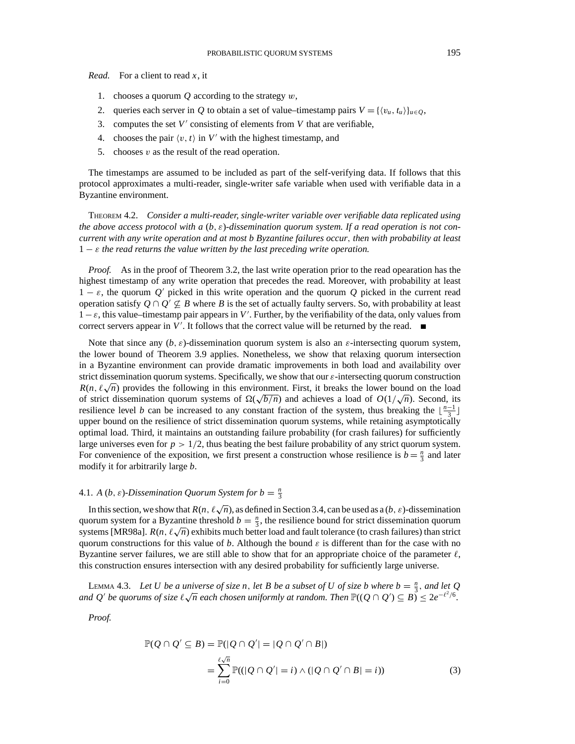*Read.* For a client to read *x*, it

- 1. chooses a quorum *Q* according to the strategy w,
- 2. queries each server in *Q* to obtain a set of value–timestamp pairs  $V = \{v_u, t_u\}_{u \in O}$ ,
- 3. computes the set  $V'$  consisting of elements from  $V$  that are verifiable,
- 4. chooses the pair  $\langle v, t \rangle$  in *V'* with the highest timestamp, and
- 5. chooses  $v$  as the result of the read operation.

The timestamps are assumed to be included as part of the self-verifying data. If follows that this protocol approximates a multi-reader, single-writer safe variable when used with verifiable data in a Byzantine environment.

THEOREM 4.2. *Consider a multi-reader, single-writer variable over verifiable data replicated using the above access protocol with a* (*b*, ε)*-dissemination quorum system. If a read operation is not concurrent with any write operation and at most b Byzantine failures occur*, *then with probability at least*  $1 - \varepsilon$  *the read returns the value written by the last preceding write operation.* 

*Proof.* As in the proof of Theorem 3.2, the last write operation prior to the read opearation has the highest timestamp of any write operation that precedes the read. Moreover, with probability at least  $1 - \varepsilon$ , the quorum *Q'* picked in this write operation and the quorum *Q* picked in the current read operation satisfy  $Q \cap Q' \nsubseteq B$  where *B* is the set of actually faulty servers. So, with probability at least  $1 - \varepsilon$ , this value–timestamp pair appears in *V'*. Further, by the verifiability of the data, only values from correct servers appear in  $V'$ . It follows that the correct value will be returned by the read.

Note that since any  $(b, \varepsilon)$ -dissemination quorum system is also an  $\varepsilon$ -intersecting quorum system, the lower bound of Theorem 3.9 applies. Nonetheless, we show that relaxing quorum intersection in a Byzantine environment can provide dramatic improvements in both load and availability over strict dissemination quorum systems. Specifically, we show that our  $\varepsilon$ -intersecting quorum construction  $R(n, \ell \sqrt{n})$  provides the following in this environment. First, it breaks the lower bound on the load  $K(n, \ell \sqrt{n})$  provides the following in this environment. First, it bleaks the lower bound on the load of  $\Omega(\sqrt{n})$  and achieves a load of  $O(1/\sqrt{n})$ . Second, its resilience level *b* can be increased to any constant fraction of the system, thus breaking the  $\lfloor \frac{n-1}{3} \rfloor$ upper bound on the resilience of strict dissemination quorum systems, while retaining asymptotically optimal load. Third, it maintains an outstanding failure probability (for crash failures) for sufficiently large universes even for  $p > 1/2$ , thus beating the best failure probability of any strict quorum system. For convenience of the exposition, we first present a construction whose resilience is  $b = \frac{n}{3}$  and later modify it for arbitrarily large *b*.

# 4.1. *A* (*b*,  $\varepsilon$ )-Dissemination Quorum System for  $b = \frac{n}{3}$

In this section, we show that  $R(n, \ell \sqrt{n})$ , as defined in Section 3.4, can be used as a (*b*,  $\varepsilon$ )-dissemination quorum system for a Byzantine threshold  $b = \frac{n}{3}$ , the resilience bound for strict dissemination quorum systems [MR98a].  $R(n, \ell \sqrt{n})$  exhibits much better load and fault tolerance (to crash failures) than strict quorum constructions for this value of *b*. Although the bound  $\varepsilon$  is different than for the case with no Byzantine server failures, we are still able to show that for an appropriate choice of the parameter  $\ell$ , this construction ensures intersection with any desired probability for sufficiently large universe.

LEMMA 4.3. Let U be a universe of size n, let B be a subset of U of size b where  $b = \frac{n}{3}$ , and let Q *and Q'* be quorums of size  $\ell \sqrt{n}$  each chosen uniformly at random. Then  $\mathbb{P}((Q \cap Q') \subseteq B) \leq 2e^{-\ell^2/6}$ .

*Proof.*

$$
\mathbb{P}(Q \cap Q' \subseteq B) = \mathbb{P}(|Q \cap Q'| = |Q \cap Q' \cap B|)
$$
  
= 
$$
\sum_{i=0}^{\ell \sqrt{n}} \mathbb{P}((|Q \cap Q'| = i) \land (|Q \cap Q' \cap B| = i))
$$
 (3)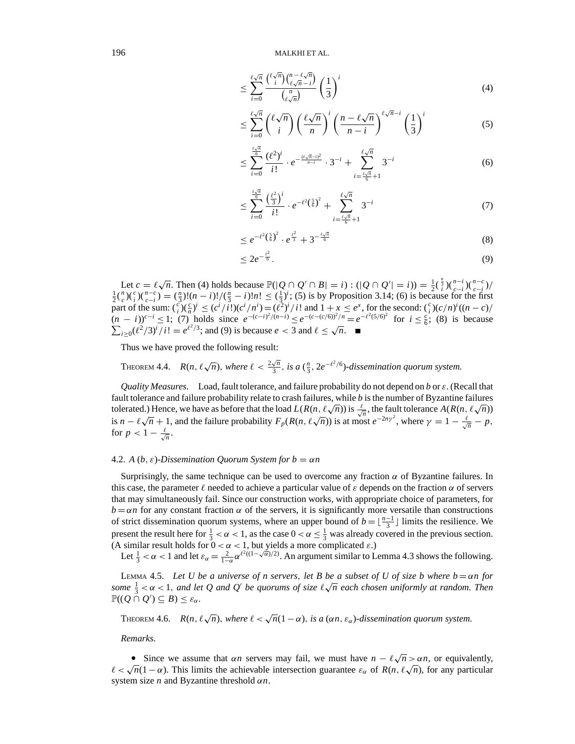$$
\leq \sum_{i=0}^{\ell\sqrt{n}} \frac{\binom{\ell\sqrt{n}}{i}\binom{n-\ell\sqrt{n}}{\ell\sqrt{n}-i}}{\binom{n}{\ell\sqrt{n}}} \left(\frac{1}{3}\right)^i \tag{4}
$$

$$
\leq \sum_{i=0}^{\ell\sqrt{n}} \binom{\ell\sqrt{n}}{i} \left(\frac{\ell\sqrt{n}}{n}\right)^i \left(\frac{n-\ell\sqrt{n}}{n-i}\right)^{\ell\sqrt{n}-i} \left(\frac{1}{3}\right)^i \tag{5}
$$

$$
\leq \sum_{i=0}^{\frac{\ell\sqrt{n}}{6}} \frac{(\ell^2)^i}{i!} \cdot e^{-\frac{(\ell\sqrt{n}-i)^2}{n-i}} \cdot 3^{-i} + \sum_{i=\frac{\ell\sqrt{n}}{6}+1}^{\ell\sqrt{n}} 3^{-i} \tag{6}
$$

$$
\leq \sum_{i=0}^{\frac{\ell\sqrt{n}}{6}} \frac{\left(\frac{\ell^2}{3}\right)^i}{i!} \cdot e^{-\ell^2\left(\frac{5}{6}\right)^2} + \sum_{i=\frac{\ell\sqrt{n}}{6}+1}^{\ell\sqrt{n}} 3^{-i} \tag{7}
$$

$$
\leq e^{-\ell^2\left(\frac{5}{6}\right)^2}\cdot e^{\frac{\ell^2}{3}}+3^{-\frac{\ell\sqrt{n}}{6}}\tag{8}
$$

$$
\leq 2e^{-\frac{t^2}{6}}.\tag{9}
$$

Let  $c = \ell \sqrt{n}$ . Then (4) holds because  $\mathbb{P}(|Q \cap Q' \cap B| = i) : (|Q \cap Q'| = i)) = \frac{1}{2}(\frac{\pi}{i})(\frac{n-i}{c-i})(\frac{n-c}{c-i})/\frac{1}{2}(\frac{n}{c})(\frac{n-c}{c-i}) = (\frac{\pi}{3})!(n-i)!/(\frac{n}{3}-i)!n! \leq (\frac{1}{3})^i$ ; (5) is by Proposition 3.14; (6) is because for the first part of the sum:  $\binom{c}{i}\left(\frac{c}{n}\right)^i \leq \frac{c^i}{i!}\left(\frac{c^i}{n}\right)^i$  ( $c^i/n^i$ ) =  $\frac{c^i}{i!}\left(\frac{c^i}{n^i}\right)^i$  and  $1 + x \leq e^x$ , for the second:  $\binom{c}{i}(c/n)^i((n-c)/i)$  $\frac{(n-i)^{c-i}}{c}$  ≤ 1; (7) holds since  $e^{-(c-i)^2/(n-i)}$  ≤  $e^{-(c-(c/6))^2/n}$  =  $e^{-\ell^2(5/6)^2}$  for  $i \leq \frac{c}{6}$ ; (8) is because  $\sum_{i\geq 0}$   $(\ell^2/3)^i / i! = e^{\ell^2/3}$ ; and (9) is because *e* < 3 and  $\ell \leq \sqrt{n}$ .

Thus we have proved the following result:

THEOREM 4.4. 
$$
R(n, \ell \sqrt{n})
$$
, where  $\ell < \frac{2\sqrt{n}}{3}$ , is a  $(\frac{n}{3}, 2e^{-\ell^2/6})$ -dissemination quorum system.

*Quality Measures.* Load, fault tolerance, and failure probability do not depend on *b* or ε. (Recall that fault tolerance and failure probability relate to crash failures, while *b* is the number of Byzantine failures the fault toleratic and ranule probability relate to crash ranules, while b is the number of Byzantine ranules tolerated.) Hence, we have as before that the load  $L(R(n, \ell\sqrt{n}))$  is  $\frac{\ell}{\sqrt{n}}$ , the fault tolerance  $A(R(n, \ell\sqrt{n$ is  $n - \ell \sqrt{n} + 1$ , and the failure probability  $F_p(R(n, \ell \sqrt{n}))$  is at most  $e^{-2n\gamma^2}$ , where  $\gamma = 1 - \frac{\ell}{\sqrt{n}} - p$ , for  $p < 1 - \frac{\ell}{\sqrt{n}}$ .

## 4.2. *A* (*b*,  $\varepsilon$ )-Dissemination Quorum System for  $b = \alpha n$

Surprisingly, the same technique can be used to overcome any fraction  $\alpha$  of Byzantine failures. In this case, the parameter  $\ell$  needed to achieve a particular value of  $\epsilon$  depends on the fraction  $\alpha$  of servers that may simultaneously fail. Since our construction works, with appropriate choice of parameters, for  $b = \alpha n$  for any constant fraction  $\alpha$  of the servers, it is significantly more versatile than constructions of strict dissemination quorum systems, where an upper bound of  $b = \lfloor \frac{n-1}{3} \rfloor$  limits the resilience. We present the result here for  $\frac{1}{3} < \alpha < 1$ , as the case  $0 < \alpha \leq \frac{1}{3}$  was already covered in the previous section. (A similar result holds for  $0 < \alpha < 1$ , but yields a more complicated  $\varepsilon$ .)

Let  $\frac{1}{3} < \alpha < 1$  and let  $\varepsilon_{\alpha} = \frac{2}{1-\alpha} \alpha^{l^2((1-\sqrt{\alpha})/2)}$ . An argument similar to Lemma 4.3 shows the following.

LEMMA 4.5. Let U be a universe of n servers, let B be a subset of U of size b where  $b = \alpha n$  for **EMMA 4.5.** Let  $\sigma$  be a universe of *n* servers, tet **B** be a subset of  $\sigma$  of size  $b$  where  $b = \alpha n$  for some  $\frac{1}{3} < \alpha < 1$ , and let Q and Q' be quorums of size  $\ell \sqrt{n}$  each chosen uniformly at random. Then  $\mathbb{P}((Q \cap Q') \subseteq B) \leq \varepsilon_{\alpha}$ .

THEOREM 4.6.  $R(n, \ell \sqrt{n})$ , where  $\ell < \sqrt{n}(1 - \alpha)$ , *is a* ( $\alpha n$ ,  $\varepsilon_{\alpha}$ )-dissemination quorum system.

*Remarks.*

• Since we assume that  $\alpha n$  servers may fail, we must have  $n - \ell \sqrt{n} > \alpha n$ , or equivalently,  $\ell < \sqrt{n}(1 - \alpha)$ . This limits the achievable intersection guarantee  $\varepsilon_{\alpha}$  of  $R(n, \ell \sqrt{n})$ , for any particular system size *n* and Byzantine threshold α*n*.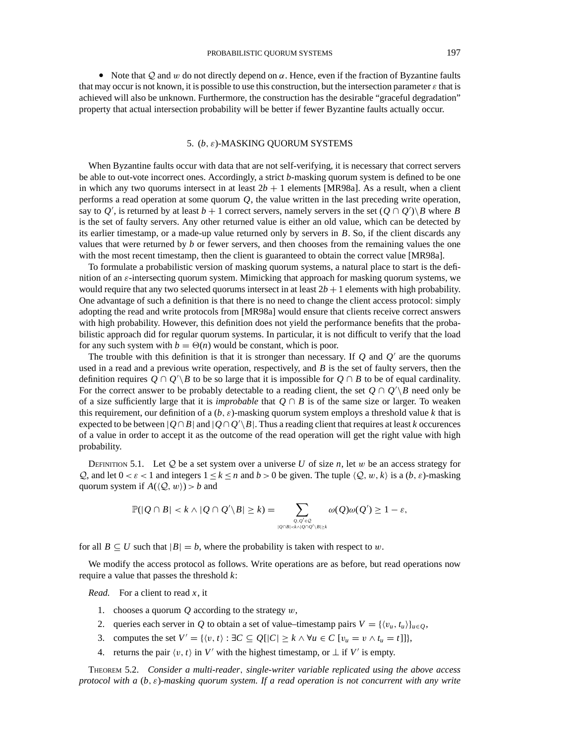• Note that Q and w do not directly depend on  $\alpha$ . Hence, even if the fraction of Byzantine faults that may occur is not known, it is possible to use this construction, but the intersection parameter  $\varepsilon$  that is achieved will also be unknown. Furthermore, the construction has the desirable "graceful degradation" property that actual intersection probability will be better if fewer Byzantine faults actually occur.

# 5. (*b*, ε)-MASKING QUORUM SYSTEMS

When Byzantine faults occur with data that are not self-verifying, it is necessary that correct servers be able to out-vote incorrect ones. Accordingly, a strict *b*-masking quorum system is defined to be one in which any two quorums intersect in at least  $2b + 1$  elements [MR98a]. As a result, when a client performs a read operation at some quorum *Q*, the value written in the last preceding write operation, say to  $Q'$ , is returned by at least  $b + 1$  correct servers, namely servers in the set  $(Q \cap Q')\$  where *B* is the set of faulty servers. Any other returned value is either an old value, which can be detected by its earlier timestamp, or a made-up value returned only by servers in *B*. So, if the client discards any values that were returned by *b* or fewer servers, and then chooses from the remaining values the one with the most recent timestamp, then the client is guaranteed to obtain the correct value [MR98a].

To formulate a probabilistic version of masking quorum systems, a natural place to start is the definition of an ε-intersecting quorum system. Mimicking that approach for masking quorum systems, we would require that any two selected quorums intersect in at least  $2b + 1$  elements with high probability. One advantage of such a definition is that there is no need to change the client access protocol: simply adopting the read and write protocols from [MR98a] would ensure that clients receive correct answers with high probability. However, this definition does not yield the performance benefits that the probabilistic approach did for regular quorum systems. In particular, it is not difficult to verify that the load for any such system with  $b = \Theta(n)$  would be constant, which is poor.

The trouble with this definition is that it is stronger than necessary. If  $Q$  and  $Q'$  are the quorums used in a read and a previous write operation, respectively, and *B* is the set of faulty servers, then the definition requires  $Q \cap Q' \setminus B$  to be so large that it is impossible for  $Q \cap B$  to be of equal cardinality. For the correct answer to be probably detectable to a reading client, the set  $Q \cap Q' \backslash B$  need only be of a size sufficiently large that it is *improbable* that  $Q \cap B$  is of the same size or larger. To weaken this requirement, our definition of a (*b*, ε)-masking quorum system employs a threshold value *k* that is expected to be between  $|Q \cap B|$  and  $|Q \cap Q' \setminus B|$ . Thus a reading client that requires at least *k* occurences of a value in order to accept it as the outcome of the read operation will get the right value with high probability.

DEFINITION 5.1. Let  $Q$  be a set system over a universe U of size  $n$ , let  $w$  be an access strategy for Q, and let  $0 < \varepsilon < 1$  and integers  $1 \le k \le n$  and  $b > 0$  be given. The tuple  $\langle Q, w, k \rangle$  is a  $(b, \varepsilon)$ -masking quorum system if  $A(\langle Q, w \rangle) > b$  and

$$
\mathbb{P}(|Q \cap B| < k \land |Q \cap Q' \setminus B| \geq k) = \sum_{Q, Q' \in \mathcal{Q} \atop |Q \cap B| < k \land |Q \cap Q' \setminus B| \geq k} \omega(Q) \omega(Q') \geq 1 - \varepsilon,
$$

for all  $B \subseteq U$  such that  $|B| = b$ , where the probability is taken with respect to w.

We modify the access protocol as follows. Write operations are as before, but read operations now require a value that passes the threshold *k*:

*Read.* For a client to read *x*, it

- 1. chooses a quorum *Q* according to the strategy w,
- 2. queries each server in *Q* to obtain a set of value–timestamp pairs  $V = \{ \langle v_u, t_u \rangle \}_{u \in O}$ ,
- 3. computes the set  $V' = \{(v, t) : \exists C \subseteq Q[|C| \ge k \land \forall u \in C [v_u = v \land t_u = t] \},\$
- 4. returns the pair  $\langle v, t \rangle$  in *V'* with the highest timestamp, or  $\perp$  if *V'* is empty.

THEOREM 5.2. *Consider a multi-reader*, *single-writer variable replicated using the above access protocol with a* (*b*, ε)*-masking quorum system. If a read operation is not concurrent with any write*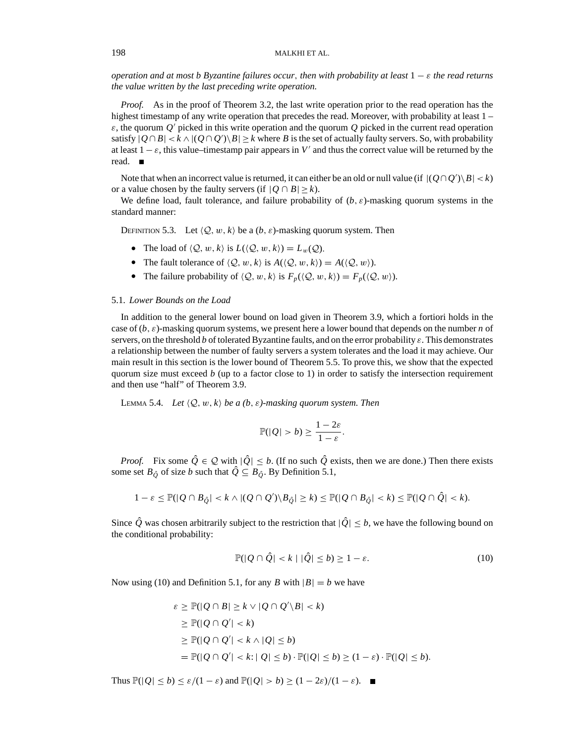*operation and at most b Byzantine failures occur*, *then with probability at least* 1 − ε *the read returns the value written by the last preceding write operation.*

*Proof.* As in the proof of Theorem 3.2, the last write operation prior to the read operation has the highest timestamp of any write operation that precedes the read. Moreover, with probability at least  $1 \varepsilon$ , the quorum  $Q'$  picked in this write operation and the quorum  $Q$  picked in the current read operation satisfy  $|Q \cap B| < k \wedge |(Q \cap Q') \setminus B| \ge k$  where *B* is the set of actually faulty servers. So, with probability at least  $1 - \varepsilon$ , this value–timestamp pair appears in *V'* and thus the correct value will be returned by the read.

Note that when an incorrect value is returned, it can either be an old or null value (if  $| (Q \cap Q') \setminus B | < k$ ) or a value chosen by the faulty servers (if  $|Q \cap B| \ge k$ ).

We define load, fault tolerance, and failure probability of  $(b, \varepsilon)$ -masking quorum systems in the standard manner:

DEFINITION 5.3. Let  $\langle Q, w, k \rangle$  be a  $(b, \varepsilon)$ -masking quorum system. Then

- The load of  $\langle \mathcal{Q}, w, k \rangle$  is  $L(\langle \mathcal{Q}, w, k \rangle) = L_w(\mathcal{Q})$ .
- The fault tolerance of  $\langle Q, w, k \rangle$  is  $A(\langle Q, w, k \rangle) = A(\langle Q, w \rangle)$ .
- The failure probability of  $\langle Q, w, k \rangle$  is  $F_p(\langle Q, w, k \rangle) = F_p(\langle Q, w \rangle)$ .

## 5.1. *Lower Bounds on the Load*

In addition to the general lower bound on load given in Theorem 3.9, which a fortiori holds in the case of  $(b, \varepsilon)$ -masking quorum systems, we present here a lower bound that depends on the number *n* of servers, on the threshold *b* of tolerated Byzantine faults, and on the error probability  $\varepsilon$ . This demonstrates a relationship between the number of faulty servers a system tolerates and the load it may achieve. Our main result in this section is the lower bound of Theorem 5.5. To prove this, we show that the expected quorum size must exceed *b* (up to a factor close to 1) in order to satisfy the intersection requirement and then use "half" of Theorem 3.9.

LEMMA 5.4. *Let*  $\langle Q, w, k \rangle$  *be a*  $(b, \varepsilon)$ -masking quorum system. Then

$$
\mathbb{P}(|Q| > b) \ge \frac{1 - 2\varepsilon}{1 - \varepsilon}.
$$

*Proof.* Fix some  $\hat{Q} \in \mathcal{Q}$  with  $|\hat{Q}| \leq b$ . (If no such  $\hat{Q}$  exists, then we are done.) Then there exists some set  $B_{\hat{O}}$  of size *b* such that  $\hat{Q} \subseteq B_{\hat{O}}$ . By Definition 5.1,

$$
1-\varepsilon \leq \mathbb{P}(|Q \cap B_{\hat{Q}}| < k \land |(Q \cap Q') \setminus B_{\hat{Q}}| \geq k) \leq \mathbb{P}(|Q \cap B_{\hat{Q}}| < k) \leq \mathbb{P}(|Q \cap \hat{Q}| < k).
$$

Since  $\hat{Q}$  was chosen arbitrarily subject to the restriction that  $|\hat{Q}| \leq b$ , we have the following bound on the conditional probability:

$$
\mathbb{P}(|Q \cap \hat{Q}| < k \mid |\hat{Q}| \le b) \ge 1 - \varepsilon. \tag{10}
$$

Now using (10) and Definition 5.1, for any *B* with  $|B| = b$  we have

$$
\varepsilon \ge \mathbb{P}(|Q \cap B| \ge k \vee |Q \cap Q' \setminus B| < k)
$$
\n
$$
\ge \mathbb{P}(|Q \cap Q'| < k)
$$
\n
$$
\ge \mathbb{P}(|Q \cap Q'| < k \wedge |Q| \le b)
$$
\n
$$
= \mathbb{P}(|Q \cap Q'| < k : |Q| \le b) \cdot \mathbb{P}(|Q| \le b) \ge (1 - \varepsilon) \cdot \mathbb{P}(|Q| \le b).
$$

Thus  $\mathbb{P}(|Q| \le b) \le \varepsilon/(1-\varepsilon)$  and  $\mathbb{P}(|Q| > b) \ge (1-2\varepsilon)/(1-\varepsilon)$ .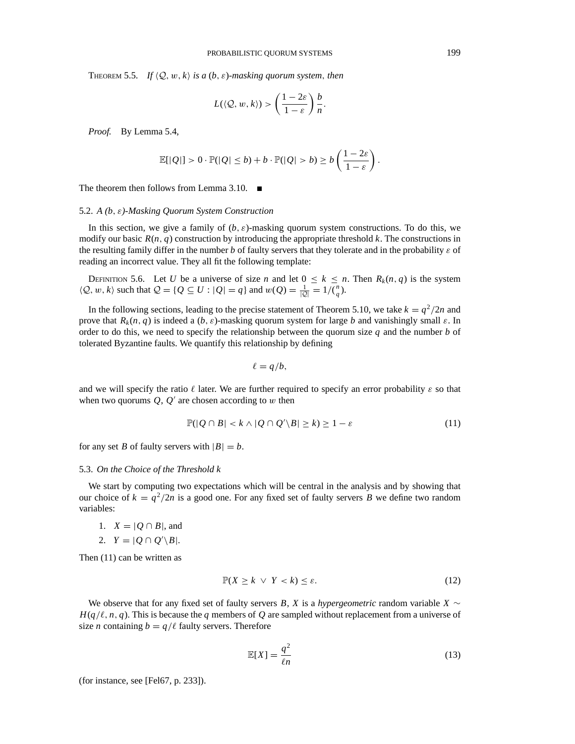THEOREM 5.5. *If*  $\langle Q, w, k \rangle$  *is a*  $(b, \varepsilon)$ *-masking quorum system, then* 

$$
L(\langle \mathcal{Q}, w, k \rangle) > \left(\frac{1 - 2\varepsilon}{1 - \varepsilon}\right) \frac{b}{n}.
$$

*Proof.* By Lemma 5.4,

$$
\mathbb{E}[|Q|] > 0 \cdot \mathbb{P}(|Q| \le b) + b \cdot \mathbb{P}(|Q| > b) \ge b \left(\frac{1-2\varepsilon}{1-\varepsilon}\right).
$$

The theorem then follows from Lemma 3.10.  $\blacksquare$ 

# 5.2. *A (b*, ε*)-Masking Quorum System Construction*

In this section, we give a family of  $(b, \varepsilon)$ -masking quorum system constructions. To do this, we modify our basic  $R(n, q)$  construction by introducing the appropriate threshold  $k$ . The constructions in the resulting family differ in the number  $b$  of faulty servers that they tolerate and in the probability  $\varepsilon$  of reading an incorrect value. They all fit the following template:

DEFINITION 5.6. Let *U* be a universe of size *n* and let  $0 \le k \le n$ . Then  $R_k(n, q)$  is the system  $\langle Q, w, k \rangle$  such that  $Q = \{ Q \subseteq U : |Q| = q \}$  and  $w(Q) = \frac{1}{|Q|} = 1/\binom{n}{q}$ .

In the following sections, leading to the precise statement of Theorem 5.10, we take  $k = q^2/2n$  and prove that  $R_k(n, q)$  is indeed a  $(b, \varepsilon)$ -masking quorum system for large *b* and vanishingly small  $\varepsilon$ . In order to do this, we need to specify the relationship between the quorum size  $q$  and the number  $b$  of tolerated Byzantine faults. We quantify this relationship by defining

$$
\ell = q/b,
$$

and we will specify the ratio  $\ell$  later. We are further required to specify an error probability  $\varepsilon$  so that when two quorums  $Q$ ,  $Q'$  are chosen according to  $w$  then

$$
\mathbb{P}(|Q \cap B| < k \land |Q \cap Q' \backslash B| \ge k) \ge 1 - \varepsilon \tag{11}
$$

for any set *B* of faulty servers with  $|B| = b$ .

#### 5.3. *On the Choice of the Threshold k*

We start by computing two expectations which will be central in the analysis and by showing that our choice of  $k = q^2/2n$  is a good one. For any fixed set of faulty servers *B* we define two random variables:

1.  $X = |Q \cap B|$ , and

2.  $Y = |Q \cap Q' \backslash B|$ .

Then (11) can be written as

$$
\mathbb{P}(X \ge k \ \lor \ Y < k) \le \varepsilon. \tag{12}
$$

We observe that for any fixed set of faulty servers *B*, *X* is a *hypergeometric* random variable  $X \sim$  $H(q/\ell, n, q)$ . This is because the *q* members of *Q* are sampled without replacement from a universe of size *n* containing  $b = q/\ell$  faulty servers. Therefore

$$
\mathbb{E}[X] = \frac{q^2}{\ell n} \tag{13}
$$

(for instance, see [Fel67, p. 233]).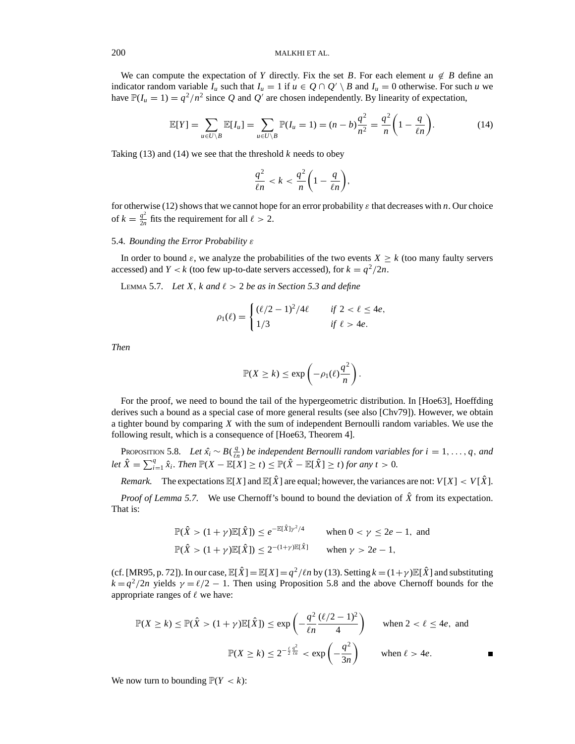We can compute the expectation of *Y* directly. Fix the set *B*. For each element  $u \notin B$  define an indicator random variable  $I_u$  such that  $I_u = 1$  if  $u \in Q \cap Q' \setminus B$  and  $I_u = 0$  otherwise. For such *u* we have  $\mathbb{P}(I_u = 1) = q^2/n^2$  since *Q* and *Q'* are chosen independently. By linearity of expectation,

$$
\mathbb{E}[Y] = \sum_{u \in U \setminus B} \mathbb{E}[I_u] = \sum_{u \in U \setminus B} \mathbb{P}(I_u = 1) = (n - b)\frac{q^2}{n^2} = \frac{q^2}{n} \left(1 - \frac{q}{\ell n}\right).
$$
 (14)

Taking  $(13)$  and  $(14)$  we see that the threshold *k* needs to obey

$$
\frac{q^2}{\ell n} < k < \frac{q^2}{n} \left( 1 - \frac{q}{\ell n} \right),
$$

for otherwise (12) shows that we cannot hope for an error probability  $\varepsilon$  that decreases with *n*. Our choice of  $k = \frac{q^2}{2n}$  fits the requirement for all  $\ell > 2$ .

# 5.4. *Bounding the Error Probability* ε

In order to bound  $\varepsilon$ , we analyze the probabilities of the two events  $X \ge k$  (too many faulty servers accessed) and *Y* < *k* (too few up-to-date servers accessed), for  $k = q^2/2n$ .

LEMMA 5.7. Let X,  $k$  and  $\ell > 2$  be as in Section 5.3 and define

$$
\rho_1(\ell) = \begin{cases} (\ell/2 - 1)^2/4\ell & \text{if } 2 < \ell \le 4e, \\ 1/3 & \text{if } \ell > 4e. \end{cases}
$$

*Then*

$$
\mathbb{P}(X \ge k) \le \exp\left(-\rho_1(\ell)\frac{q^2}{n}\right).
$$

For the proof, we need to bound the tail of the hypergeometric distribution. In [Hoe63], Hoeffding derives such a bound as a special case of more general results (see also [Chv79]). However, we obtain a tighter bound by comparing *X* with the sum of independent Bernoulli random variables. We use the following result, which is a consequence of [Hoe63, Theorem 4].

PROPOSITION 5.8. *Let*  $\hat{x}_i \sim B(\frac{q}{\ell n})$  *be independent Bernoulli random variables for*  $i = 1, \ldots, q$ , *and let*  $\hat{X} = \sum_{i=1}^{q} \hat{x}_i$ *. Then*  $\mathbb{P}(X - \mathbb{E}[X] \ge t) \le \mathbb{P}(\hat{X} - \mathbb{E}[\hat{X}] \ge t)$  *for any t* > 0*.* 

*Remark.* The expectations  $\mathbb{E}[X]$  and  $\mathbb{E}[\hat{X}]$  are equal; however, the variances are not:  $V[X] < V[\hat{X}]$ .

*Proof of Lemma 5.7.* We use Chernoff's bound to bound the deviation of  $\hat{X}$  from its expectation. That is:

$$
\mathbb{P}(\hat{X} > (1+\gamma)\mathbb{E}[\hat{X}]) \leq e^{-\mathbb{E}[\hat{X}]\gamma^2/4} \qquad \text{when } 0 < \gamma \leq 2e - 1, \text{ and}
$$
\n
$$
\mathbb{P}(\hat{X} > (1+\gamma)\mathbb{E}[\hat{X}]) \leq 2^{-(1+\gamma)\mathbb{E}[\hat{X}]} \qquad \text{when } \gamma > 2e - 1,
$$

(cf. [MR95, p. 72]). In our case,  $\mathbb{E}[\hat{X}] = \mathbb{E}[X] = \frac{q^2}{ln}$  by (13). Setting  $k = (1 + \gamma)\mathbb{E}[\hat{X}]$  and substituting  $k = q^2/2n$  yields  $\gamma = \ell/2 - 1$ . Then using Proposition 5.8 and the above Chernoff bounds for the appropriate ranges of  $\ell$  we have:

$$
\mathbb{P}(X \ge k) \le \mathbb{P}(\hat{X} > (1+\gamma)\mathbb{E}[\hat{X}]) \le \exp\left(-\frac{q^2}{\ell n}\frac{(\ell/2-1)^2}{4}\right) \qquad \text{when } 2 < \ell \le 4e, \text{ and}
$$
\n
$$
\mathbb{P}(X \ge k) \le 2^{-\frac{\ell}{2}\frac{q^2}{\ell n}} < \exp\left(-\frac{q^2}{3n}\right) \qquad \text{when } \ell > 4e.
$$

We now turn to bounding  $\mathbb{P}(Y < k)$ :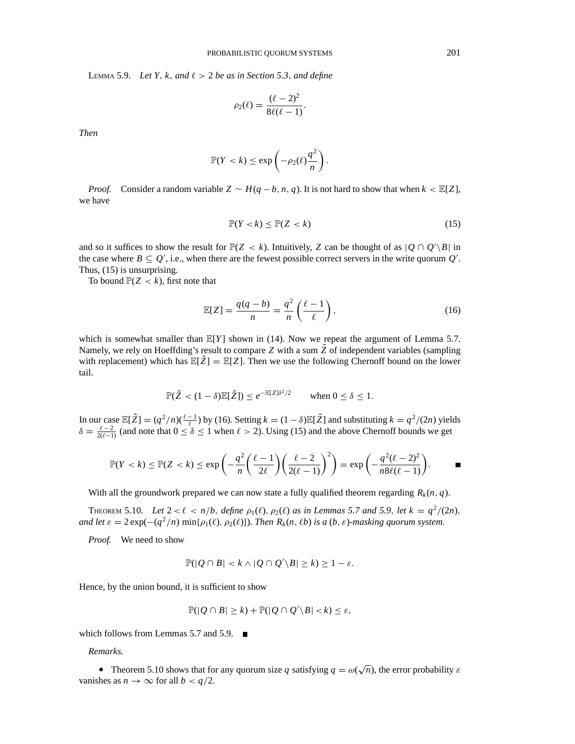LEMMA 5.9. *Let Y, k, and*  $\ell > 2$  *be as in Section 5.3, and define* 

$$
\rho_2(\ell) = \frac{(\ell-2)^2}{8\ell(\ell-1)}.
$$

*Then*

$$
\mathbb{P}(Y < k) \le \exp\left(-\rho_2(\ell)\frac{q^2}{n}\right).
$$

*Proof.* Consider a random variable  $Z \sim H(q - b, n, q)$ . It is not hard to show that when  $k \lt E[Z]$ , we have

$$
\mathbb{P}(Y < k) \le \mathbb{P}(Z < k) \tag{15}
$$

and so it suffices to show the result for  $\mathbb{P}(Z < k)$ . Intuitively, *Z* can be thought of as  $|Q \cap Q' \setminus B|$  in the case where  $B \subseteq Q'$ , i.e., when there are the fewest possible correct servers in the write quorum  $Q'$ . Thus, (15) is unsurprising.

To bound  $\mathbb{P}(Z < k)$ , first note that

$$
\mathbb{E}[Z] = \frac{q(q-b)}{n} = \frac{q^2}{n} \left(\frac{\ell-1}{\ell}\right),\tag{16}
$$

which is somewhat smaller than  $\mathbb{E}[Y]$  shown in (14). Now we repeat the argument of Lemma 5.7. Namely, we rely on Hoeffding's result to compare  $Z$  with a sum  $\hat{Z}$  of independent variables (sampling with replacement) which has  $\mathbb{E}[\hat{Z}] = \mathbb{E}[Z]$ . Then we use the following Chernoff bound on the lower tail.

$$
\mathbb{P}(\hat{Z} < (1 - \delta)\mathbb{E}[\hat{Z}]) \leq e^{-\mathbb{E}[Z]\delta^2/2} \qquad \text{when } 0 \leq \delta \leq 1.
$$

In our case  $\mathbb{E}[\hat{Z}] = (q^2/n)(\frac{\ell-1}{\ell})$  by (16). Setting  $k = (1 - \delta)\mathbb{E}[\hat{Z}]$  and substituting  $k = q^2/(2n)$  yields  $\delta = \frac{\ell - 2}{2(\ell - 1)}$  (and note that  $0 \le \delta \le 1$  when  $\ell > 2$ ). Using (15) and the above Chernoff bounds we get

$$
\mathbb{P}(Y < k) \le \mathbb{P}(Z < k) \le \exp\left(-\frac{q^2}{n}\left(\frac{\ell-1}{2\ell}\right)\left(\frac{\ell-2}{2(\ell-1)}\right)^2\right) = \exp\left(-\frac{q^2(\ell-2)^2}{n8\ell(\ell-1)}\right).
$$

With all the groundwork prepared we can now state a fully qualified theorem regarding  $R_k(n, q)$ .

THEOREM 5.10. Let  $2 < \ell < n/b$ , define  $\rho_1(\ell), \rho_2(\ell)$  as in Lemmas 5.7 and 5.9, let  $k = q^2/(2n)$ , *and let*  $\varepsilon = 2 \exp(-(q^2/n) \min\{\rho_1(\ell), \rho_2(\ell)\})$ *. Then*  $R_k(n, \ell b)$  *is a* (*b*,  $\varepsilon$ )*-masking quorum system.* 

*Proof.* We need to show

$$
\mathbb{P}(|Q \cap B| < k \land |Q \cap Q' \backslash B| \geq k) \geq 1 - \varepsilon.
$$

Hence, by the union bound, it is sufficient to show

$$
\mathbb{P}(|Q \cap B| \ge k) + \mathbb{P}(|Q \cap Q' \backslash B| < k) \le \varepsilon,
$$

which follows from Lemmas 5.7 and 5.9.  $\blacksquare$ 

# *Remarks.*

• Theorem 5.10 shows that for any quorum size *q* satisfying  $q = \omega(\sqrt{n})$ , the error probability  $\varepsilon$ vanishes as  $n \to \infty$  for all  $b < q/2$ .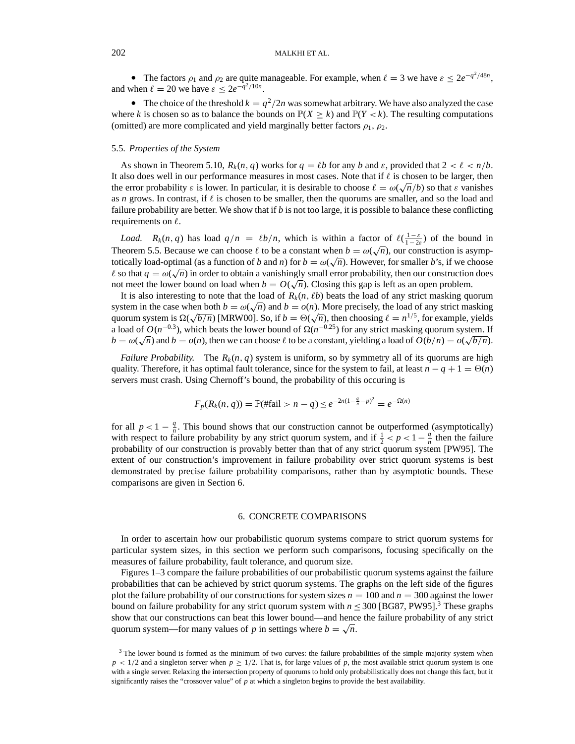• The factors  $\rho_1$  and  $\rho_2$  are quite manageable. For example, when  $\ell = 3$  we have  $\varepsilon \leq 2e^{-q^2/48n}$ , and when  $\ell = 20$  we have  $\varepsilon \leq 2e^{-q^2/10n}$ .

• The choice of the threshold  $k = q^2/2n$  was somewhat arbitrary. We have also analyzed the case where *k* is chosen so as to balance the bounds on  $\mathbb{P}(X \ge k)$  and  $\mathbb{P}(Y < k)$ . The resulting computations (omitted) are more complicated and yield marginally better factors  $\rho_1$ ,  $\rho_2$ .

#### 5.5. *Properties of the System*

As shown in Theorem 5.10,  $R_k(n, q)$  works for  $q = \ell b$  for any *b* and  $\varepsilon$ , provided that  $2 < \ell < n/b$ . It also does well in our performance measures in most cases. Note that if  $\ell$  is chosen to be larger, then the error probability *ε* is lower. In particular, it is desirable to choose  $\ell = \omega(\sqrt{n}/b)$  so that *ε* vanishes as *n* grows. In contrast, if  $\ell$  is chosen to be smaller, then the quorums are smaller, and so the load and failure probability are better. We show that if  $b$  is not too large, it is possible to balance these conflicting requirements on  $\ell$ .

*Load.*  $R_k(n, q)$  has load  $q/n = \ell b/n$ , which is within a factor of  $\ell(\frac{1-\varepsilon}{1-2\varepsilon})$  of the bound in Theorem 5.5. Because we can choose  $\ell$  to be a constant when  $b = \omega(\sqrt{n})$ , our construction is asymptotically load-optimal (as a function of *b* and *n*) for  $b = \omega(\sqrt{n})$ . However, for smaller *b*'s, if we choose totically load-optimal (as a function of *b* and *n*) for  $b = \omega(\sqrt{n})$ . However, for smaller *b*'s, if we choose  $\ell$  so that  $q = \omega(\sqrt{n})$  in order to obtain a vanishingly small error probability, then our construction does  $\alpha$  so that  $q = \omega(\sqrt{n})$  in order to obtain a valust<br>not meet the lower bound on load when  $b = O(\sqrt{n})$ . Closing this gap is left as an open problem.

It is also interesting to note that the load of  $R_k(n, \ell b)$  beats the load of any strict masking quorum It is also interesting to note that the load of  $R_k(n, \ell\theta)$  beats the load of any strict masking quorum<br>system in the case when both  $b = \omega(\sqrt{n})$  and  $b = o(n)$ . More precisely, the load of any strict masking system in the case when both  $b = \omega(\sqrt{n})$  and  $b = o(n)$ . More precisely, the load of any strict masking quorum system is  $\Omega(\sqrt{b/n})$  [MRW00]. So, if  $b = \Theta(\sqrt{n})$ , then choosing  $\ell = n^{1/5}$ , for example, yields a load of  $O(n^{-0.3})$ , which beats the lower bound of  $\Omega(n^{-0.25})$  for any strict masking quorum system. If  $b = \omega(\sqrt{n})$  and  $b = o(n)$ , then we can choose  $\ell$  to be a constant, yielding a load of  $O(b/n) = o(\sqrt{b/n})$ .

*Failure Probability.* The  $R_k(n, q)$  system is uniform, so by symmetry all of its quorums are high quality. Therefore, it has optimal fault tolerance, since for the system to fail, at least  $n - q + 1 = \Theta(n)$ servers must crash. Using Chernoff's bound, the probability of this occuring is

$$
F_p(R_k(n, q)) = \mathbb{P}(\text{ffail} > n - q) \le e^{-2n(1 - \frac{q}{n} - p)^2} = e^{-\Omega(n)}
$$

for all  $p < 1 - \frac{q}{n}$ . This bound shows that our construction cannot be outperformed (asymptotically) with respect to failure probability by any strict quorum system, and if  $\frac{1}{2} < p < 1 - \frac{q}{n}$  then the failure probability of our construction is provably better than that of any strict quorum system [PW95]. The extent of our construction's improvement in failure probability over strict quorum systems is best demonstrated by precise failure probability comparisons, rather than by asymptotic bounds. These comparisons are given in Section 6.

# 6. CONCRETE COMPARISONS

In order to ascertain how our probabilistic quorum systems compare to strict quorum systems for particular system sizes, in this section we perform such comparisons, focusing specifically on the measures of failure probability, fault tolerance, and quorum size.

Figures 1–3 compare the failure probabilities of our probabilistic quorum systems against the failure probabilities that can be achieved by strict quorum systems. The graphs on the left side of the figures plot the failure probability of our constructions for system sizes  $n = 100$  and  $n = 300$  against the lower bound on failure probability for any strict quorum system with  $n \leq 300$  [BG87, PW95].<sup>3</sup> These graphs show that our constructions can beat this lower bound—and hence the failure probability of any strict quorum system—for many values of *p* in settings where  $b = \sqrt{n}$ .

<sup>&</sup>lt;sup>3</sup> The lower bound is formed as the minimum of two curves: the failure probabilities of the simple majority system when  $p < 1/2$  and a singleton server when  $p \ge 1/2$ . That is, for large values of p, the most available strict quorum system is one with a single server. Relaxing the intersection property of quorums to hold only probabilistically does not change this fact, but it significantly raises the "crossover value" of *p* at which a singleton begins to provide the best availability.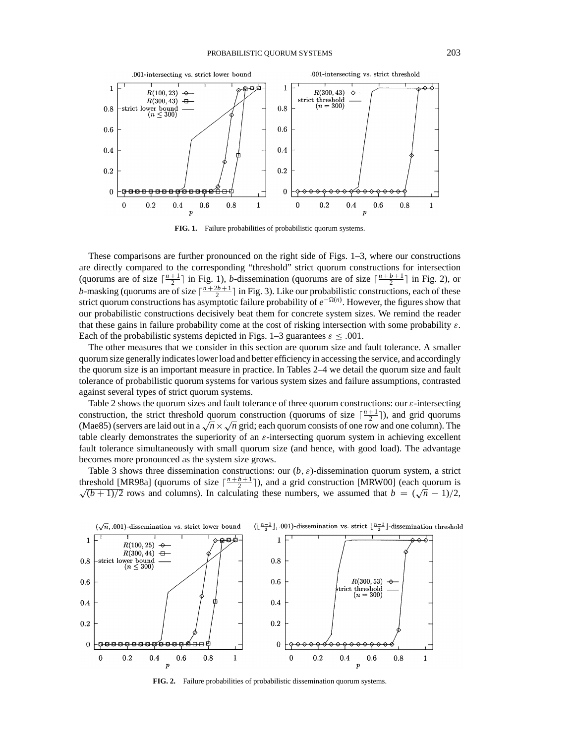

**FIG. 1.** Failure probabilities of probabilistic quorum systems.

These comparisons are further pronounced on the right side of Figs. 1–3, where our constructions are directly compared to the corresponding "threshold" strict quorum constructions for intersection (quorums are of size  $\lceil \frac{n+1}{2} \rceil$  in Fig. 1), *b*-dissemination (quorums are of size  $\lceil \frac{n+b+1}{2} \rceil$  in Fig. 2), or *b*-masking (quorums are of size  $\lceil \frac{n+2b+1}{2} \rceil$  in Fig. 3). Like our probabilistic constructions, each of these strict quorum constructions has asymptotic failure probability of  $e^{-Ω(n)}$ . However, the figures show that our probabilistic constructions decisively beat them for concrete system sizes. We remind the reader that these gains in failure probability come at the cost of risking intersection with some probability  $\varepsilon$ . Each of the probabilistic systems depicted in Figs. 1–3 guarantees  $\varepsilon \leq .001$ .

The other measures that we consider in this section are quorum size and fault tolerance. A smaller quorum size generally indicates lower load and better efficiency in accessing the service, and accordingly the quorum size is an important measure in practice. In Tables 2–4 we detail the quorum size and fault tolerance of probabilistic quorum systems for various system sizes and failure assumptions, contrasted against several types of strict quorum systems.

Table 2 shows the quorum sizes and fault tolerance of three quorum constructions: our  $\varepsilon$ -intersecting construction, the strict threshold quorum construction (quorums of size  $\lceil \frac{n+1}{2} \rceil$ ), and grid quorums (Mae85) (servers are laid out in a  $\sqrt{n} \times \sqrt{n}$  grid; each quorum consists of one row and one column). The table clearly demonstrates the superiority of an  $\varepsilon$ -intersecting quorum system in achieving excellent fault tolerance simultaneously with small quorum size (and hence, with good load). The advantage becomes more pronounced as the system size grows.

Table 3 shows three dissemination constructions: our  $(b, \varepsilon)$ -dissemination quorum system, a strict threshold [MR98a] (quorums of size  $\lceil \frac{n + b + 1}{2} \rceil$ ), and a grid construction [MRW00] (each quorum is differencial [MK98a] (quorums of size  $\frac{1}{2}$  + 1), and a grid construction [MKWOO] (each quorum is  $\sqrt{(b+1)/2}$  rows and columns). In calculating these numbers, we assumed that  $b = (\sqrt{n} - 1)/2$ ,



**FIG. 2.** Failure probabilities of probabilistic dissemination quorum systems.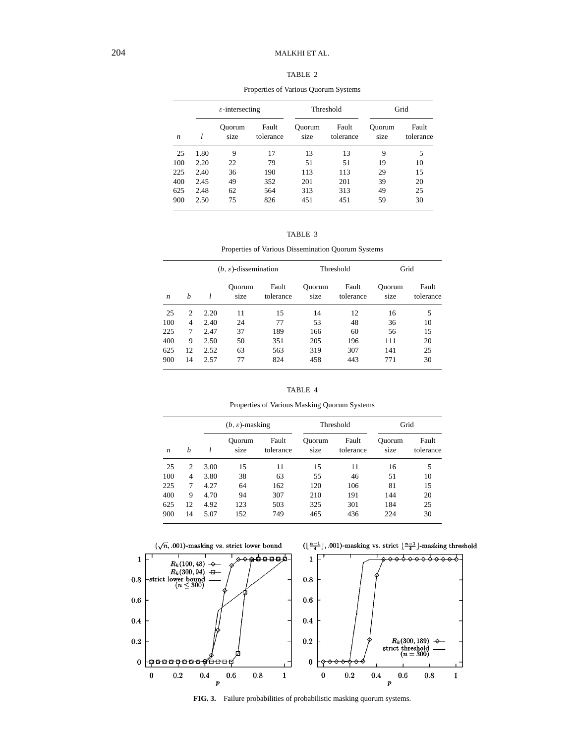# 204 MALKHI ET AL.

# TABLE 2

|                  |      | $\varepsilon$ -intersecting |                    |                | Threshold          | Grid           |                    |
|------------------|------|-----------------------------|--------------------|----------------|--------------------|----------------|--------------------|
| $\boldsymbol{n}$ |      | Ouorum<br>size              | Fault<br>tolerance | Ouorum<br>size | Fault<br>tolerance | Ouorum<br>size | Fault<br>tolerance |
| 25               | 1.80 | 9                           | 17                 | 13             | 13                 | 9              | 5                  |
| 100              | 2.20 | 22                          | 79                 | 51             | 51                 | 19             | 10                 |
| 225              | 2.40 | 36                          | 190                | 113            | 113                | 29             | 15                 |
| 400              | 2.45 | 49                          | 352                | 201            | 201                | 39             | 20                 |
| 625              | 2.48 | 62                          | 564                | 313            | 313                | 49             | 25                 |
| 900              | 2.50 | 75                          | 826                | 451            | 451                | 59             | 30                 |

Properties of Various Quorum Systems

|  | TABLE |  |  |
|--|-------|--|--|
|--|-------|--|--|

Properties of Various Dissemination Quorum Systems

|                  |                | $(b, \varepsilon)$ -dissemination |                |                    | Threshold      |                    | Grid           |                    |
|------------------|----------------|-----------------------------------|----------------|--------------------|----------------|--------------------|----------------|--------------------|
| $\boldsymbol{n}$ | h              |                                   | Ouorum<br>size | Fault<br>tolerance | Ouorum<br>size | Fault<br>tolerance | Ouorum<br>size | Fault<br>tolerance |
| 25               | 2              | 2.20                              | 11             | 15                 | 14             | 12                 | 16             | 5                  |
| 100              | $\overline{4}$ | 2.40                              | 24             | 77                 | 53             | 48                 | 36             | 10                 |
| 225              | 7              | 2.47                              | 37             | 189                | 166            | 60                 | 56             | 15                 |
| 400              | 9              | 2.50                              | 50             | 351                | 205            | 196                | 111            | 20                 |
| 625              | 12             | 2.52                              | 63             | 563                | 319            | 307                | 141            | 25                 |
| 900              | 14             | 2.57                              | 77             | 824                | 458            | 443                | 771            | 30                 |

| D<br>ABL |  |
|----------|--|
|----------|--|

Properties of Various Masking Quorum Systems

|                  | $(b, \varepsilon)$ -masking |      |                | Threshold          |                | Grid               |                |                    |
|------------------|-----------------------------|------|----------------|--------------------|----------------|--------------------|----------------|--------------------|
| $\boldsymbol{n}$ | h                           |      | Ouorum<br>size | Fault<br>tolerance | Ouorum<br>size | Fault<br>tolerance | Ouorum<br>size | Fault<br>tolerance |
| 25               | 2                           | 3.00 | 15             | 11                 | 15             | 11                 | 16             | 5                  |
| 100              | 4                           | 3.80 | 38             | 63                 | 55             | 46                 | 51             | 10                 |
| 225              | 7                           | 4.27 | 64             | 162                | 120            | 106                | 81             | 15                 |
| 400              | 9                           | 4.70 | 94             | 307                | 210            | 191                | 144            | 20                 |
| 625              | 12                          | 4.92 | 123            | 503                | 325            | 301                | 184            | 25                 |
| 900              | 14                          | 5.07 | 152            | 749                | 465            | 436                | 224            | 30                 |



**FIG. 3.** Failure probabilities of probabilistic masking quorum systems.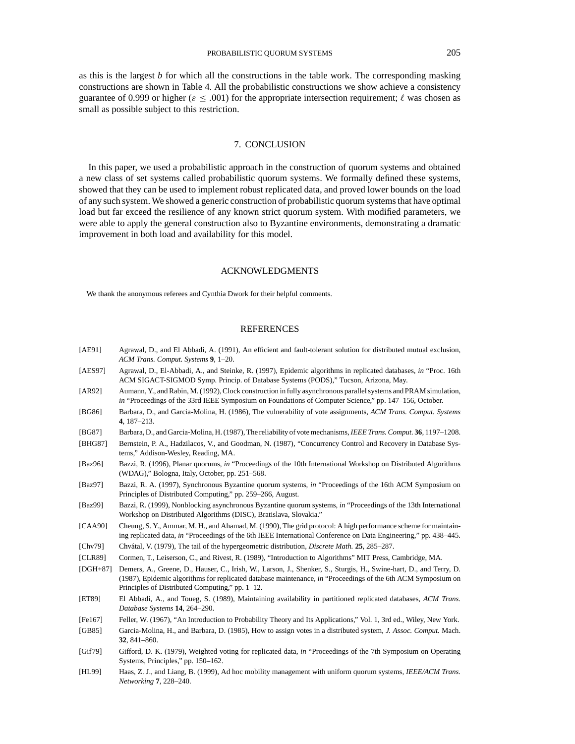as this is the largest *b* for which all the constructions in the table work. The corresponding masking constructions are shown in Table 4. All the probabilistic constructions we show achieve a consistency guarantee of 0.999 or higher ( $\varepsilon \leq .001$ ) for the appropriate intersection requirement;  $\ell$  was chosen as small as possible subject to this restriction.

# 7. CONCLUSION

In this paper, we used a probabilistic approach in the construction of quorum systems and obtained a new class of set systems called probabilistic quorum systems. We formally defined these systems, showed that they can be used to implement robust replicated data, and proved lower bounds on the load of any such system. We showed a generic construction of probabilistic quorum systems that have optimal load but far exceed the resilience of any known strict quorum system. With modified parameters, we were able to apply the general construction also to Byzantine environments, demonstrating a dramatic improvement in both load and availability for this model.

#### ACKNOWLEDGMENTS

We thank the anonymous referees and Cynthia Dwork for their helpful comments.

# REFERENCES

- [AE91] Agrawal, D., and El Abbadi, A. (1991), An efficient and fault-tolerant solution for distributed mutual exclusion, *ACM Trans. Comput. Systems* **9**, 1–20.
- [AES97] Agrawal, D., El-Abbadi, A., and Steinke, R. (1997), Epidemic algorithms in replicated databases, *in* "Proc. 16th ACM SIGACT-SIGMOD Symp. Princip. of Database Systems (PODS)," Tucson, Arizona, May.
- [AR92] Aumann, Y., and Rabin, M. (1992), Clock construction in fully asynchronous parallel systems and PRAM simulation, *in* "Proceedings of the 33rd IEEE Symposium on Foundations of Computer Science," pp. 147–156, October.
- [BG86] Barbara, D., and Garcia-Molina, H. (1986), The vulnerability of vote assignments, *ACM Trans. Comput. Systems* **4**, 187–213.
- [BG87] Barbara, D., and Garcia-Molina, H. (1987), The reliability of vote mechanisms,*IEEE Trans. Comput.* **36**, 1197–1208.
- [BHG87] Bernstein, P. A., Hadzilacos, V., and Goodman, N. (1987), "Concurrency Control and Recovery in Database Systems," Addison-Wesley, Reading, MA.
- [Baz96] Bazzi, R. (1996), Planar quorums, *in* "Proceedings of the 10th International Workshop on Distributed Algorithms (WDAG)," Bologna, Italy, October, pp. 251–568.
- [Baz97] Bazzi, R. A. (1997), Synchronous Byzantine quorum systems, *in* "Proceedings of the 16th ACM Symposium on Principles of Distributed Computing," pp. 259–266, August.
- [Baz99] Bazzi, R. (1999), Nonblocking asynchronous Byzantine quorum systems, *in* "Proceedings of the 13th International Workshop on Distributed Algorithms (DISC), Bratislava, Slovakia."
- [CAA90] Cheung, S. Y., Ammar, M. H., and Ahamad, M. (1990), The grid protocol: A high performance scheme for maintaining replicated data, *in* "Proceedings of the 6th IEEE International Conference on Data Engineering," pp. 438–445.
- [Chv79] Chv´atal, V. (1979), The tail of the hypergeometric distribution, *Discrete Math.* **25**, 285–287.
- [CLR89] Cormen, T., Leiserson, C., and Rivest, R. (1989), "Introduction to Algorithms" MIT Press, Cambridge, MA.
- [DGH+87] Demers, A., Greene, D., Hauser, C., Irish, W., Larson, J., Shenker, S., Sturgis, H., Swine-hart, D., and Terry, D. (1987), Epidemic algorithms for replicated database maintenance, *in* "Proceedings of the 6th ACM Symposium on Principles of Distributed Computing," pp. 1–12.
- [ET89] El Abbadi, A., and Toueg, S. (1989), Maintaining availability in partitioned replicated databases, *ACM Trans. Database Systems* **14**, 264–290.
- [Fe167] Feller, W. (1967), "An Introduction to Probability Theory and Its Applications," Vol. 1, 3rd ed., Wiley, New York.
- [GB85] Garcia-Molina, H., and Barbara, D. (1985), How to assign votes in a distributed system, *J. Assoc. Comput.* Mach. **32**, 841–860.
- [Gif79] Gifford, D. K. (1979), Weighted voting for replicated data, *in* "Proceedings of the 7th Symposium on Operating Systems, Principles," pp. 150–162.
- [HL99] Haas, Z. J., and Liang, B. (1999), Ad hoc mobility management with uniform quorum systems, *IEEE/ACM Trans. Networking* **7**, 228–240.